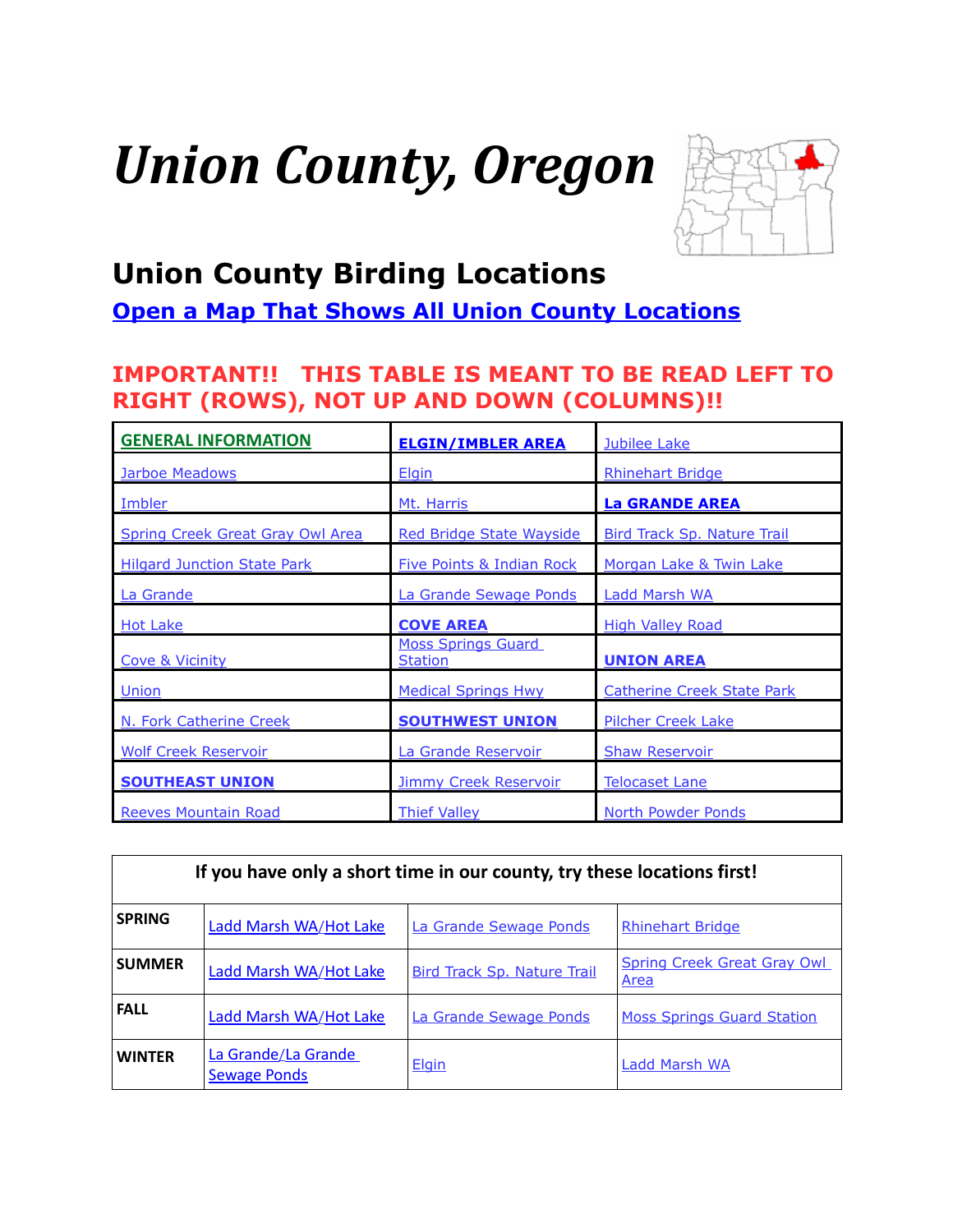# *Union County, Oregon*



## <span id="page-0-0"></span>**Union County Birding Locations**

**[Open a Map That Shows All Union County Locations](https://www.google.com/maps/d/edit?mid=zVl1oTDALjf4.kElAN2ObL1j8&usp=sharing)**

## **IMPORTANT!! THIS TABLE IS MEANT TO BE READ LEFT TO RIGHT (ROWS), NOT UP AND DOWN (COLUMNS)!!**

| <b>GENERAL INFORMATION</b>         | <b>ELGIN/IMBLER AREA</b>                    | Jubilee Lake                       |
|------------------------------------|---------------------------------------------|------------------------------------|
| <b>Jarboe Meadows</b>              | <b>Elgin</b>                                | <b>Rhinehart Bridge</b>            |
| Imbler                             | Mt. Harris                                  | <b>La GRANDE AREA</b>              |
| Spring Creek Great Gray Owl Area   | <b>Red Bridge State Wayside</b>             | <b>Bird Track Sp. Nature Trail</b> |
| <b>Hilgard Junction State Park</b> | <b>Five Points &amp; Indian Rock</b>        | Morgan Lake & Twin Lake            |
| La Grande                          | La Grande Sewage Ponds                      | Ladd Marsh WA                      |
| <b>Hot Lake</b>                    | <b>COVE AREA</b>                            | <b>High Valley Road</b>            |
| <b>Cove &amp; Vicinity</b>         | <b>Moss Springs Guard</b><br><b>Station</b> | <b>UNION AREA</b>                  |
| Union                              | <b>Medical Springs Hwy</b>                  | <b>Catherine Creek State Park</b>  |
| N. Fork Catherine Creek            | <b>SOUTHWEST UNION</b>                      | <b>Pilcher Creek Lake</b>          |
| <b>Wolf Creek Reservoir</b>        | La Grande Reservoir                         | <b>Shaw Reservoir</b>              |
| <b>SOUTHEAST UNION</b>             | <b>Jimmy Creek Reservoir</b>                | <b>Telocaset Lane</b>              |
| <b>Reeves Mountain Road</b>        | <b>Thief Valley</b>                         | <b>North Powder Ponds</b>          |

| If you have only a short time in our county, try these locations first! |                                            |                                    |                                            |  |
|-------------------------------------------------------------------------|--------------------------------------------|------------------------------------|--------------------------------------------|--|
| <b>SPRING</b>                                                           | Ladd Marsh WA/Hot Lake                     | La Grande Sewage Ponds             | <b>Rhinehart Bridge</b>                    |  |
| <b>SUMMER</b>                                                           | Ladd Marsh WA/Hot Lake                     | <b>Bird Track Sp. Nature Trail</b> | <b>Spring Creek Great Gray Owl</b><br>Area |  |
| <b>FALL</b>                                                             | Ladd Marsh WA/Hot Lake                     | La Grande Sewage Ponds             | <b>Moss Springs Guard Station</b>          |  |
| <b>WINTER</b>                                                           | La Grande/La Grande<br><b>Sewage Ponds</b> | Elgin                              | <b>Ladd Marsh WA</b>                       |  |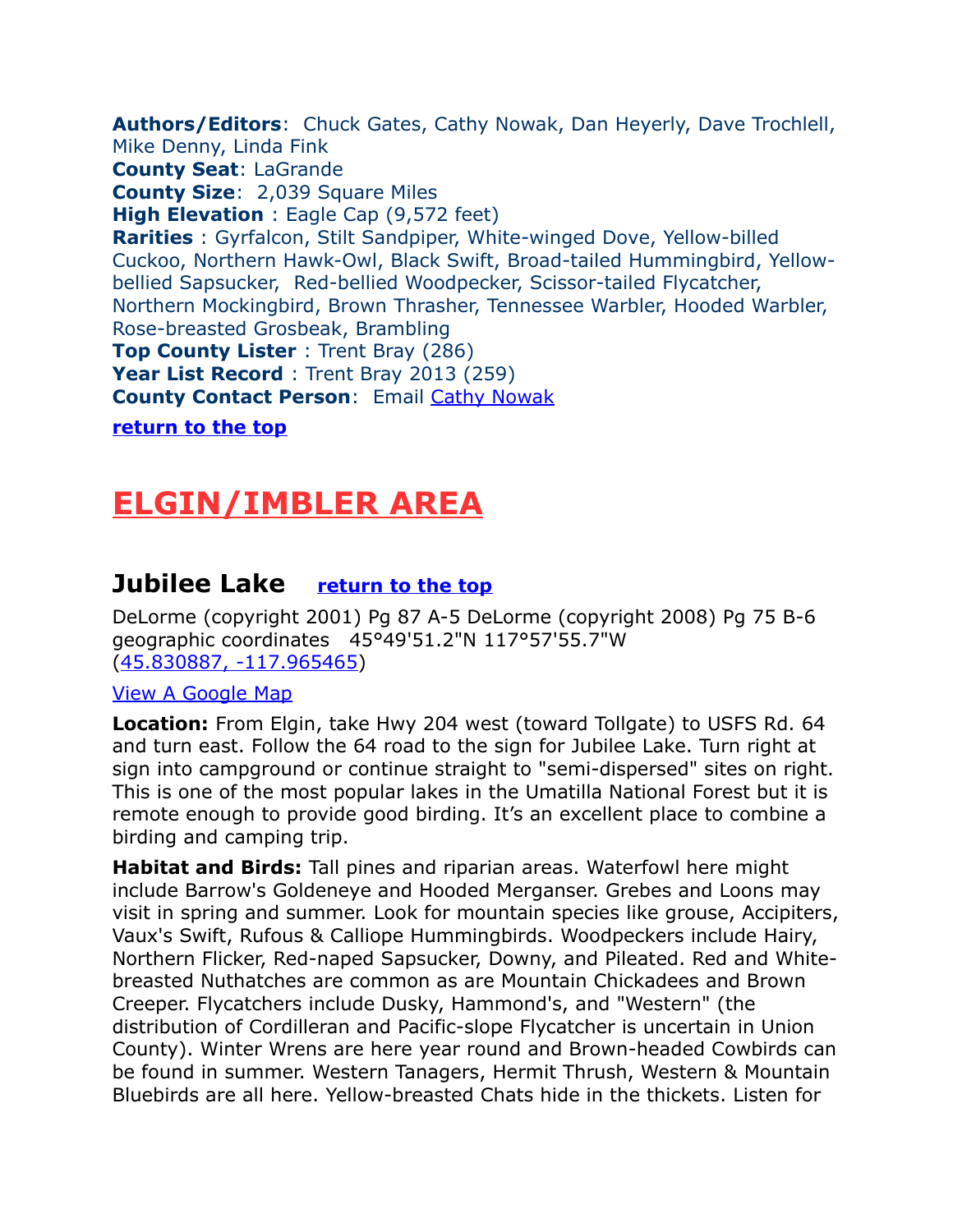<span id="page-1-2"></span>**Authors/Editors**: Chuck Gates, Cathy Nowak, Dan Heyerly, Dave Trochlell, Mike Denny, Linda Fink **County Seat**: LaGrande **County Size**: 2,039 Square Miles **High Elevation** : Eagle Cap (9,572 feet) **Rarities** : Gyrfalcon, Stilt Sandpiper, White-winged Dove, Yellow-billed Cuckoo, Northern Hawk-Owl, Black Swift, Broad-tailed Hummingbird, Yellowbellied Sapsucker, Red-bellied Woodpecker, Scissor-tailed Flycatcher, Northern Mockingbird, Brown Thrasher, Tennessee Warbler, Hooded Warbler, Rose-breasted Grosbeak, Brambling **Top County Lister** : Trent Bray (286) Year List Record : Trent Bray 2013 (259) **County Contact Person**: Email [Cathy Nowak](mailto:Cathy.Nowak@state.or.us) **[return to the top](#page-0-0)**

## <span id="page-1-1"></span>**ELGIN/IMBLER AREA**

### <span id="page-1-0"></span>**Jubilee Lake [return to the top](#page-0-0)**

DeLorme (copyright 2001) Pg 87 A-5 DeLorme (copyright 2008) Pg 75 B-6 geographic coordinates 45°49'51.2"N 117°57'55.7"W [\(45.830887, -117.965465\)](https://www.google.com/maps/place/45%C2%B049)

#### [View A Google Map](http://maps.google.com/maps/ms?hl=en&ie=UTF8&msa=0&ll=45.834899,-117.940121&spn=0.051787,0.154324&z=13&msid=108036481085398338899.0004780b2deb3161f1678)

**Location:** From Elgin, take Hwy 204 west (toward Tollgate) to USFS Rd. 64 and turn east. Follow the 64 road to the sign for Jubilee Lake. Turn right at sign into campground or continue straight to "semi-dispersed" sites on right. This is one of the most popular lakes in the Umatilla National Forest but it is remote enough to provide good birding. It's an excellent place to combine a birding and camping trip.

**Habitat and Birds:** Tall pines and riparian areas. Waterfowl here might include Barrow's Goldeneye and Hooded Merganser. Grebes and Loons may visit in spring and summer. Look for mountain species like grouse, Accipiters, Vaux's Swift, Rufous & Calliope Hummingbirds. Woodpeckers include Hairy, Northern Flicker, Red-naped Sapsucker, Downy, and Pileated. Red and Whitebreasted Nuthatches are common as are Mountain Chickadees and Brown Creeper. Flycatchers include Dusky, Hammond's, and "Western" (the distribution of Cordilleran and Pacific-slope Flycatcher is uncertain in Union County). Winter Wrens are here year round and Brown-headed Cowbirds can be found in summer. Western Tanagers, Hermit Thrush, Western & Mountain Bluebirds are all here. Yellow-breasted Chats hide in the thickets. Listen for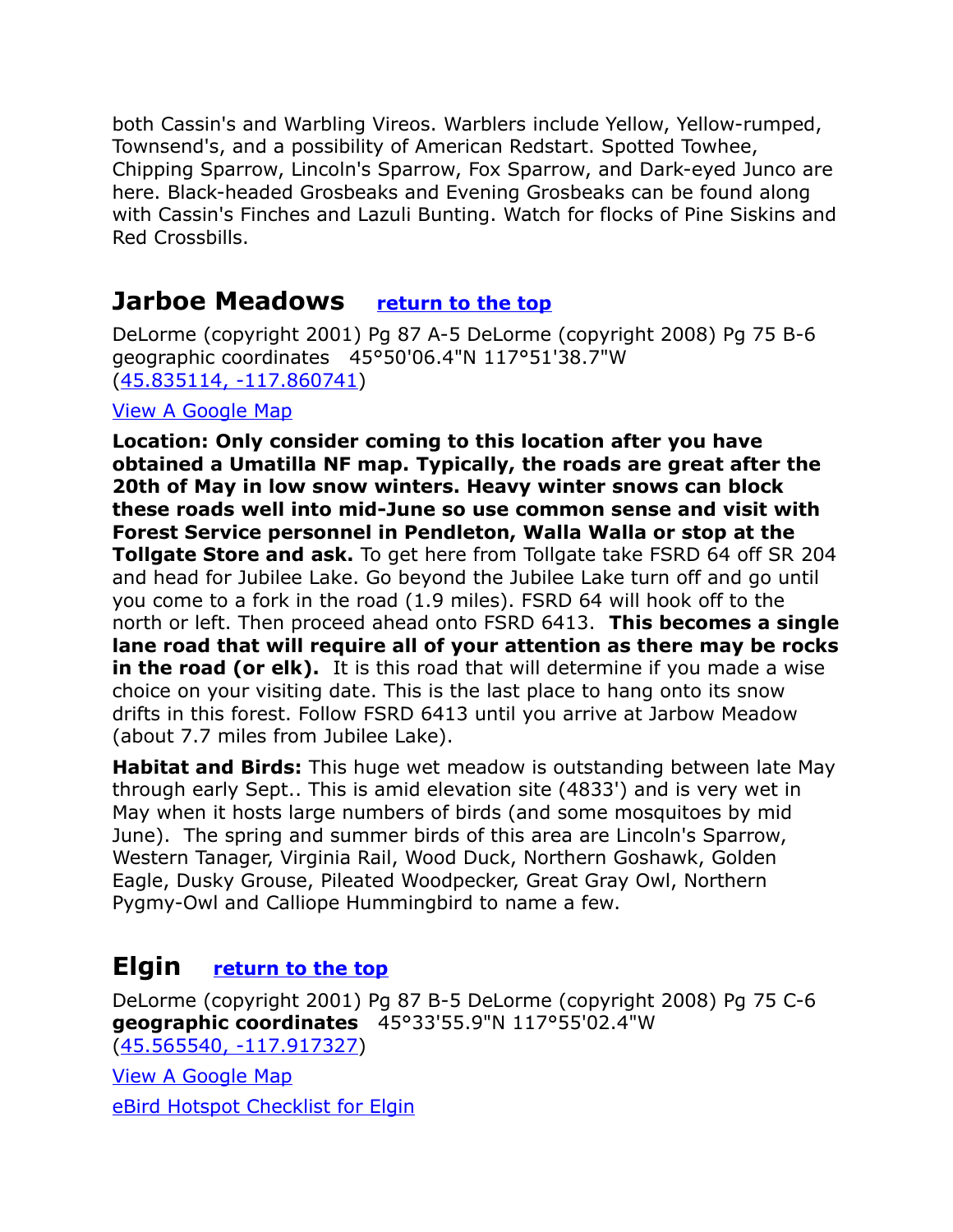both Cassin's and Warbling Vireos. Warblers include Yellow, Yellow-rumped, Townsend's, and a possibility of American Redstart. Spotted Towhee, Chipping Sparrow, Lincoln's Sparrow, Fox Sparrow, and Dark-eyed Junco are here. Black-headed Grosbeaks and Evening Grosbeaks can be found along with Cassin's Finches and Lazuli Bunting. Watch for flocks of Pine Siskins and Red Crossbills.

### <span id="page-2-1"></span>**Jarboe Meadows [return to the top](#page-0-0)**

DeLorme (copyright 2001) Pg 87 A-5 DeLorme (copyright 2008) Pg 75 B-6 geographic coordinates 45°50'06.4"N 117°51'38.7"W [\(45.835114, -117.860741\)](https://www.google.com/maps/place/45%C2%B050)

#### [View A Google Map](http://maps.google.com/maps/ms?hl=en&ie=UTF8&msa=0&ll=45.834899,-117.940121&spn=0.051787,0.154324&z=13&msid=108036481085398338899.0004780b2deb3161f1678)

**Location: Only consider coming to this location after you have obtained a Umatilla NF map. Typically, the roads are great after the 20th of May in low snow winters. Heavy winter snows can block these roads well into mid-June so use common sense and visit with Forest Service personnel in Pendleton, Walla Walla or stop at the Tollgate Store and ask.** To get here from Tollgate take FSRD 64 off SR 204 and head for Jubilee Lake. Go beyond the Jubilee Lake turn off and go until you come to a fork in the road (1.9 miles). FSRD 64 will hook off to the north or left. Then proceed ahead onto FSRD 6413. **This becomes a single lane road that will require all of your attention as there may be rocks in the road (or elk).** It is this road that will determine if you made a wise choice on your visiting date. This is the last place to hang onto its snow drifts in this forest. Follow FSRD 6413 until you arrive at Jarbow Meadow (about 7.7 miles from Jubilee Lake).

**Habitat and Birds:** This huge wet meadow is outstanding between late May through early Sept.. This is amid elevation site (4833') and is very wet in May when it hosts large numbers of birds (and some mosquitoes by mid June). The spring and summer birds of this area are Lincoln's Sparrow, Western Tanager, Virginia Rail, Wood Duck, Northern Goshawk, Golden Eagle, Dusky Grouse, Pileated Woodpecker, Great Gray Owl, Northern Pygmy-Owl and Calliope Hummingbird to name a few.

## <span id="page-2-0"></span>**Elgin [return to the top](#page-0-0)**

DeLorme (copyright 2001) Pg 87 B-5 DeLorme (copyright 2008) Pg 75 C-6 **geographic coordinates** 45°33'55.9"N 117°55'02.4"W [\(45.565540, -117.917327\)](https://www.google.com/maps/place/45%C2%B033)

[View A Google Map](http://maps.google.com/maps/ms?hl=en&source=hp&ie=UTF8&msa=0&ll=45.39845,-117.387543&spn=0.737673,2.113495&z=10&msid=108036481085398338899.000477d4aa4a857887ba2)

[eBird Hotspot Checklist for Elgin](http://ebird.org/ebird/hotspot/L1918103?yr=all&m=&rank=mrec)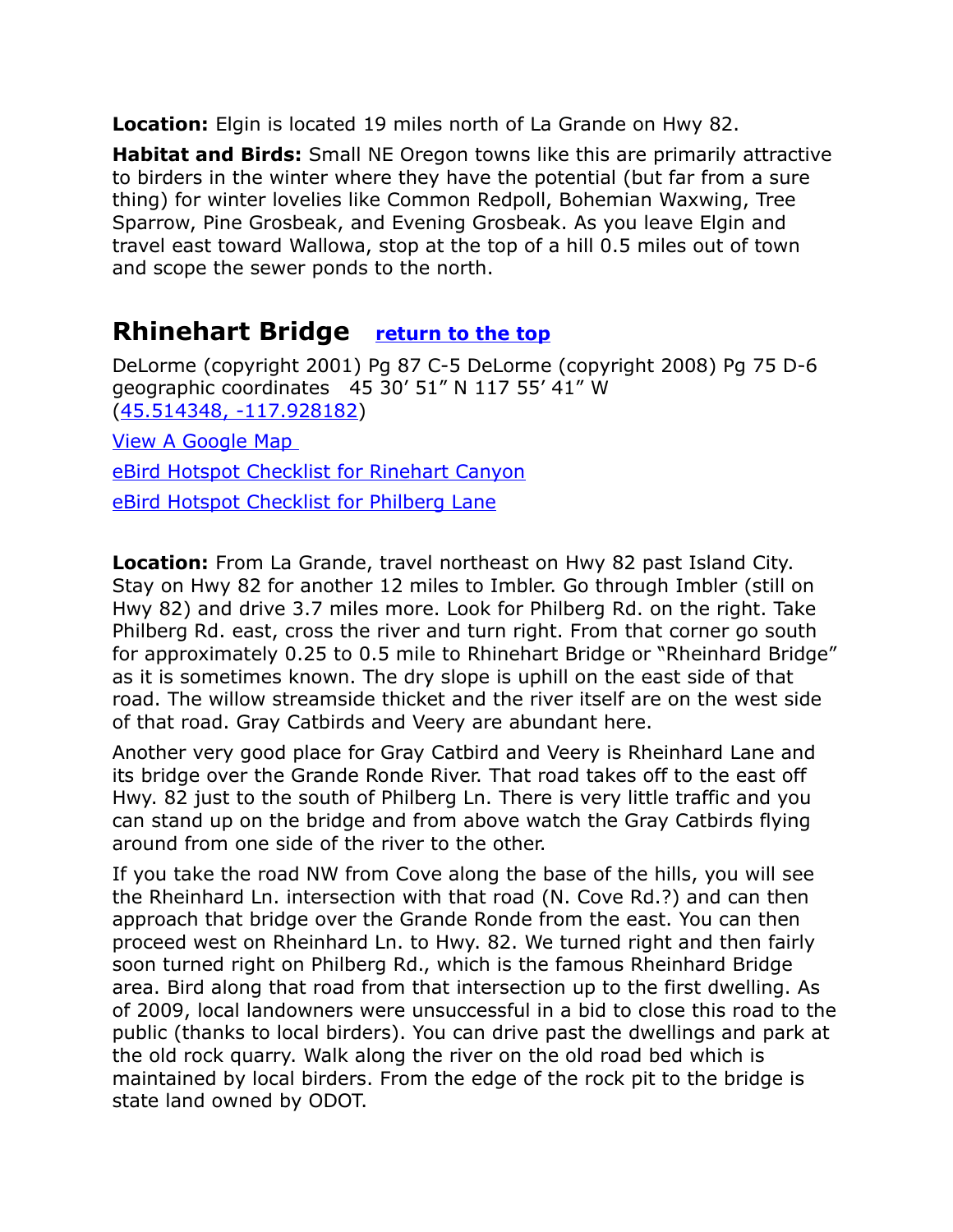**Location:** Elgin is located 19 miles north of La Grande on Hwy 82.

**Habitat and Birds:** Small NE Oregon towns like this are primarily attractive to birders in the winter where they have the potential (but far from a sure thing) for winter lovelies like Common Redpoll, Bohemian Waxwing, Tree Sparrow, Pine Grosbeak, and Evening Grosbeak. As you leave Elgin and travel east toward Wallowa, stop at the top of a hill 0.5 miles out of town and scope the sewer ponds to the north.

## <span id="page-3-0"></span>**Rhinehart Bridge [return to the top](#page-0-0)**

DeLorme (copyright 2001) Pg 87 C-5 DeLorme (copyright 2008) Pg 75 D-6 geographic coordinates 45 30' 51" N 117 55' 41" W [\(45.514348, -117.928182\)](https://www.google.com/maps/place/45%C2%B030)

[View A Google Map](http://maps.google.com/maps/ms?hl=en&source=hp&ie=UTF8&msa=0&ll=45.39845,-117.387543&spn=0.737673,2.113495&z=10&msid=108036481085398338899.000477d4aa4a857887ba2) 

[eBird Hotspot Checklist for Rinehart Canyon](http://ebird.org/ebird/hotspot/L746550?yr=all&m=&rank=mrec)

[eBird Hotspot Checklist for Philberg Lane](http://ebird.org/ebird/hotspot/L2511618?yr=all&m=&rank=mrec)

**Location:** From La Grande, travel northeast on Hwy 82 past Island City. Stay on Hwy 82 for another 12 miles to Imbler. Go through Imbler (still on Hwy 82) and drive 3.7 miles more. Look for Philberg Rd. on the right. Take Philberg Rd. east, cross the river and turn right. From that corner go south for approximately 0.25 to 0.5 mile to Rhinehart Bridge or "Rheinhard Bridge" as it is sometimes known. The dry slope is uphill on the east side of that road. The willow streamside thicket and the river itself are on the west side of that road. Gray Catbirds and Veery are abundant here.

Another very good place for Gray Catbird and Veery is Rheinhard Lane and its bridge over the Grande Ronde River. That road takes off to the east off Hwy. 82 just to the south of Philberg Ln. There is very little traffic and you can stand up on the bridge and from above watch the Gray Catbirds flying around from one side of the river to the other.

If you take the road NW from Cove along the base of the hills, you will see the Rheinhard Ln. intersection with that road (N. Cove Rd.?) and can then approach that bridge over the Grande Ronde from the east. You can then proceed west on Rheinhard Ln. to Hwy. 82. We turned right and then fairly soon turned right on Philberg Rd., which is the famous Rheinhard Bridge area. Bird along that road from that intersection up to the first dwelling. As of 2009, local landowners were unsuccessful in a bid to close this road to the public (thanks to local birders). You can drive past the dwellings and park at the old rock quarry. Walk along the river on the old road bed which is maintained by local birders. From the edge of the rock pit to the bridge is state land owned by ODOT.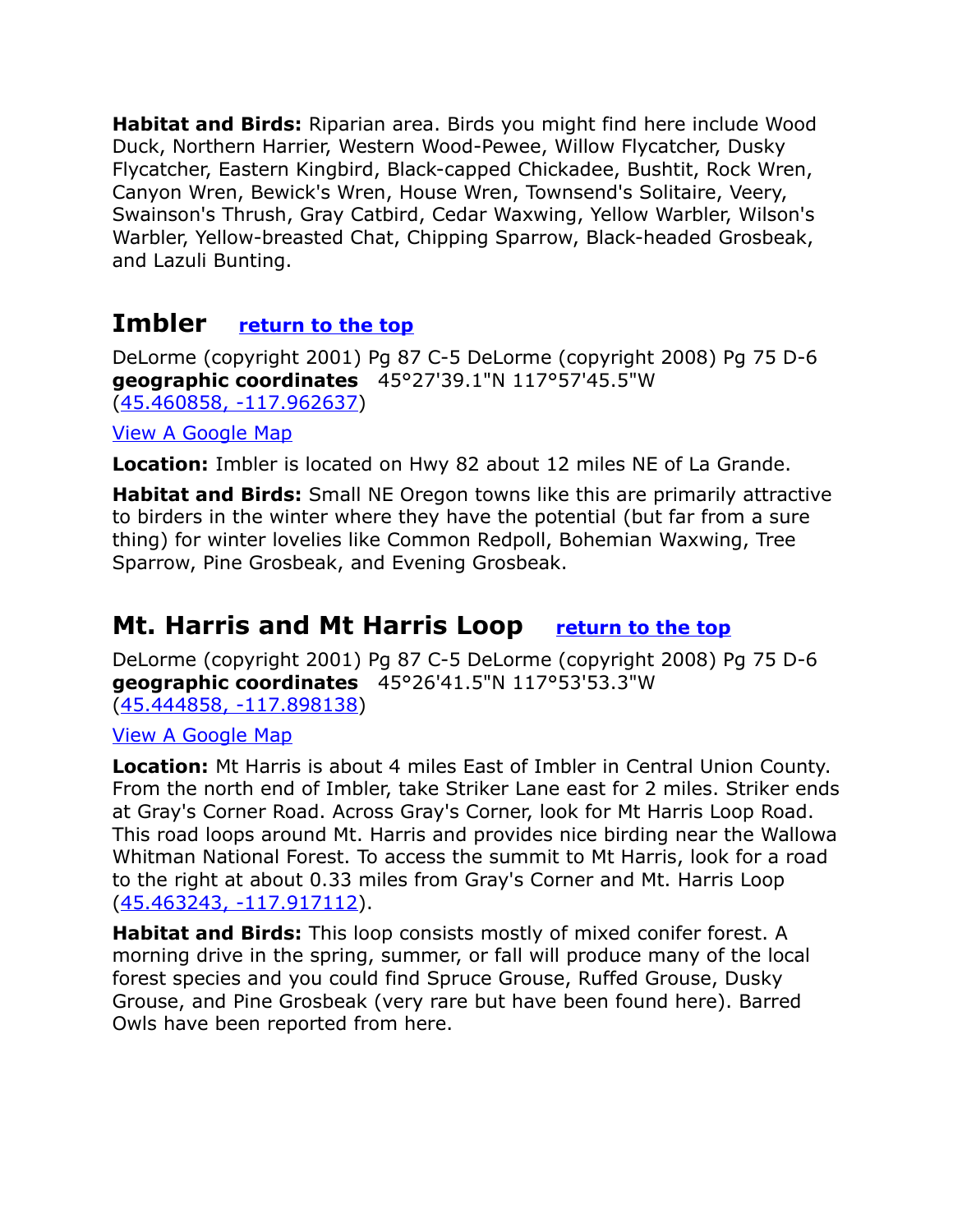**Habitat and Birds:** Riparian area. Birds you might find here include Wood Duck, Northern Harrier, Western Wood-Pewee, Willow Flycatcher, Dusky Flycatcher, Eastern Kingbird, Black-capped Chickadee, Bushtit, Rock Wren, Canyon Wren, Bewick's Wren, House Wren, Townsend's Solitaire, Veery, Swainson's Thrush, Gray Catbird, Cedar Waxwing, Yellow Warbler, Wilson's Warbler, Yellow-breasted Chat, Chipping Sparrow, Black-headed Grosbeak, and Lazuli Bunting.

## <span id="page-4-1"></span>**Imbler [return to the top](#page-0-0)**

DeLorme (copyright 2001) Pg 87 C-5 DeLorme (copyright 2008) Pg 75 D-6 **geographic coordinates** 45°27'39.1"N 117°57'45.5"W [\(45.460858, -117.962637\)](https://www.google.com/maps/place/45%C2%B027)

[View A Google Map](http://maps.google.com/maps/ms?hl=en&source=hp&ie=UTF8&msa=0&ll=45.39845,-117.387543&spn=0.737673,2.113495&z=10&msid=108036481085398338899.000477d4aa4a857887ba2)

**Location:** Imbler is located on Hwy 82 about 12 miles NE of La Grande.

**Habitat and Birds:** Small NE Oregon towns like this are primarily attractive to birders in the winter where they have the potential (but far from a sure thing) for winter lovelies like Common Redpoll, Bohemian Waxwing, Tree Sparrow, Pine Grosbeak, and Evening Grosbeak.

## <span id="page-4-0"></span>**Mt. Harris and Mt Harris Loop [return to the top](#page-0-0)**

DeLorme (copyright 2001) Pg 87 C-5 DeLorme (copyright 2008) Pg 75 D-6 **geographic coordinates** 45°26'41.5"N 117°53'53.3"W [\(45.444858, -117.898138\)](https://www.google.com/maps/place/45%C2%B026)

[View A Google Map](http://maps.google.com/maps/ms?hl=en&source=hp&ie=UTF8&msa=0&ll=45.39845,-117.387543&spn=0.737673,2.113495&z=10&msid=108036481085398338899.000477d4aa4a857887ba2)

**Location:** Mt Harris is about 4 miles East of Imbler in Central Union County. From the north end of Imbler, take Striker Lane east for 2 miles. Striker ends at Gray's Corner Road. Across Gray's Corner, look for Mt Harris Loop Road. This road loops around Mt. Harris and provides nice birding near the Wallowa Whitman National Forest. To access the summit to Mt Harris, look for a road to the right at about 0.33 miles from Gray's Corner and Mt. Harris Loop [\(45.463243, -117.917112\)](https://www.google.com/maps/place/45%C2%B027).

**Habitat and Birds:** This loop consists mostly of mixed conifer forest. A morning drive in the spring, summer, or fall will produce many of the local forest species and you could find Spruce Grouse, Ruffed Grouse, Dusky Grouse, and Pine Grosbeak (very rare but have been found here). Barred Owls have been reported from here.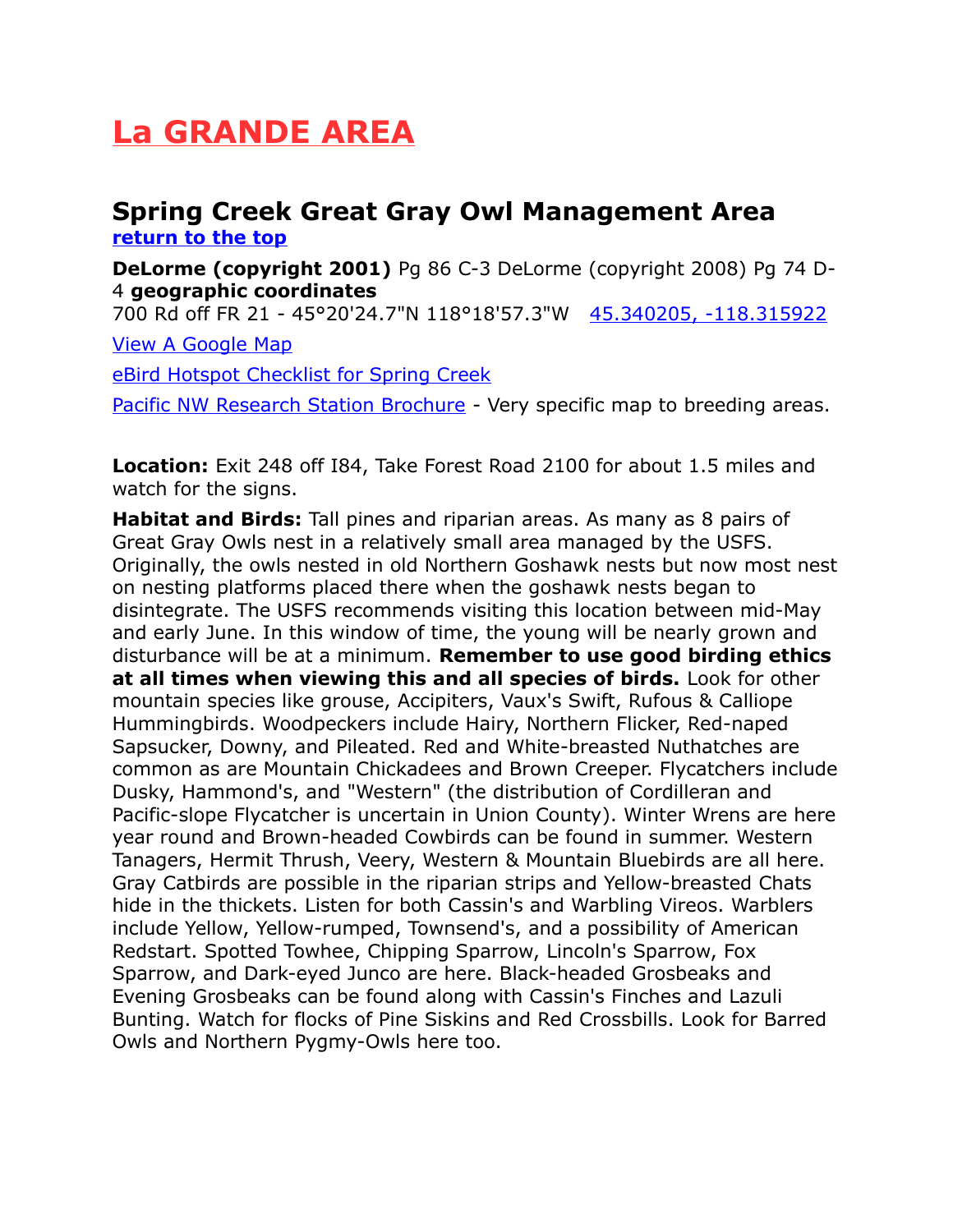## <span id="page-5-1"></span>**La GRANDE AREA**

#### <span id="page-5-0"></span>**Spring Creek Great Gray Owl Management Area [return to the top](#page-0-0)**

**DeLorme (copyright 2001)** Pg 86 C-3 DeLorme (copyright 2008) Pg 74 D-4 **geographic coordinates**

700 Rd off FR 21 - 45°20'24.7"N 118°18'57.3"W [45.340205, -118.315922](https://www.google.com/maps/place/45%C2%B020) 

[View A Google Map](http://maps.google.com/maps/ms?hl=en&source=hp&ie=UTF8&msa=0&ll=45.287931,-117.937546&spn=0.369559,1.056747&z=11&msid=108036481085398338899.000477d50ab4cb34cc737)

[eBird Hotspot Checklist for Spring Creek](http://ebird.org/ebird/hotspot/L996742?yr=all&m=&rank=mrec)

[Pacific NW Research Station Brochure](http://www.fs.usda.gov/Internet/FSE_DOCUMENTS/stelprdb5228125.pdf) - Very specific map to breeding areas.

**Location:** Exit 248 off I84, Take Forest Road 2100 for about 1.5 miles and watch for the signs.

**Habitat and Birds:** Tall pines and riparian areas. As many as 8 pairs of Great Gray Owls nest in a relatively small area managed by the USFS. Originally, the owls nested in old Northern Goshawk nests but now most nest on nesting platforms placed there when the goshawk nests began to disintegrate. The USFS recommends visiting this location between mid-May and early June. In this window of time, the young will be nearly grown and disturbance will be at a minimum. **Remember to use good birding ethics at all times when viewing this and all species of birds.** Look for other mountain species like grouse, Accipiters, Vaux's Swift, Rufous & Calliope Hummingbirds. Woodpeckers include Hairy, Northern Flicker, Red-naped Sapsucker, Downy, and Pileated. Red and White-breasted Nuthatches are common as are Mountain Chickadees and Brown Creeper. Flycatchers include Dusky, Hammond's, and "Western" (the distribution of Cordilleran and Pacific-slope Flycatcher is uncertain in Union County). Winter Wrens are here year round and Brown-headed Cowbirds can be found in summer. Western Tanagers, Hermit Thrush, Veery, Western & Mountain Bluebirds are all here. Gray Catbirds are possible in the riparian strips and Yellow-breasted Chats hide in the thickets. Listen for both Cassin's and Warbling Vireos. Warblers include Yellow, Yellow-rumped, Townsend's, and a possibility of American Redstart. Spotted Towhee, Chipping Sparrow, Lincoln's Sparrow, Fox Sparrow, and Dark-eyed Junco are here. Black-headed Grosbeaks and Evening Grosbeaks can be found along with Cassin's Finches and Lazuli Bunting. Watch for flocks of Pine Siskins and Red Crossbills. Look for Barred Owls and Northern Pygmy-Owls here too.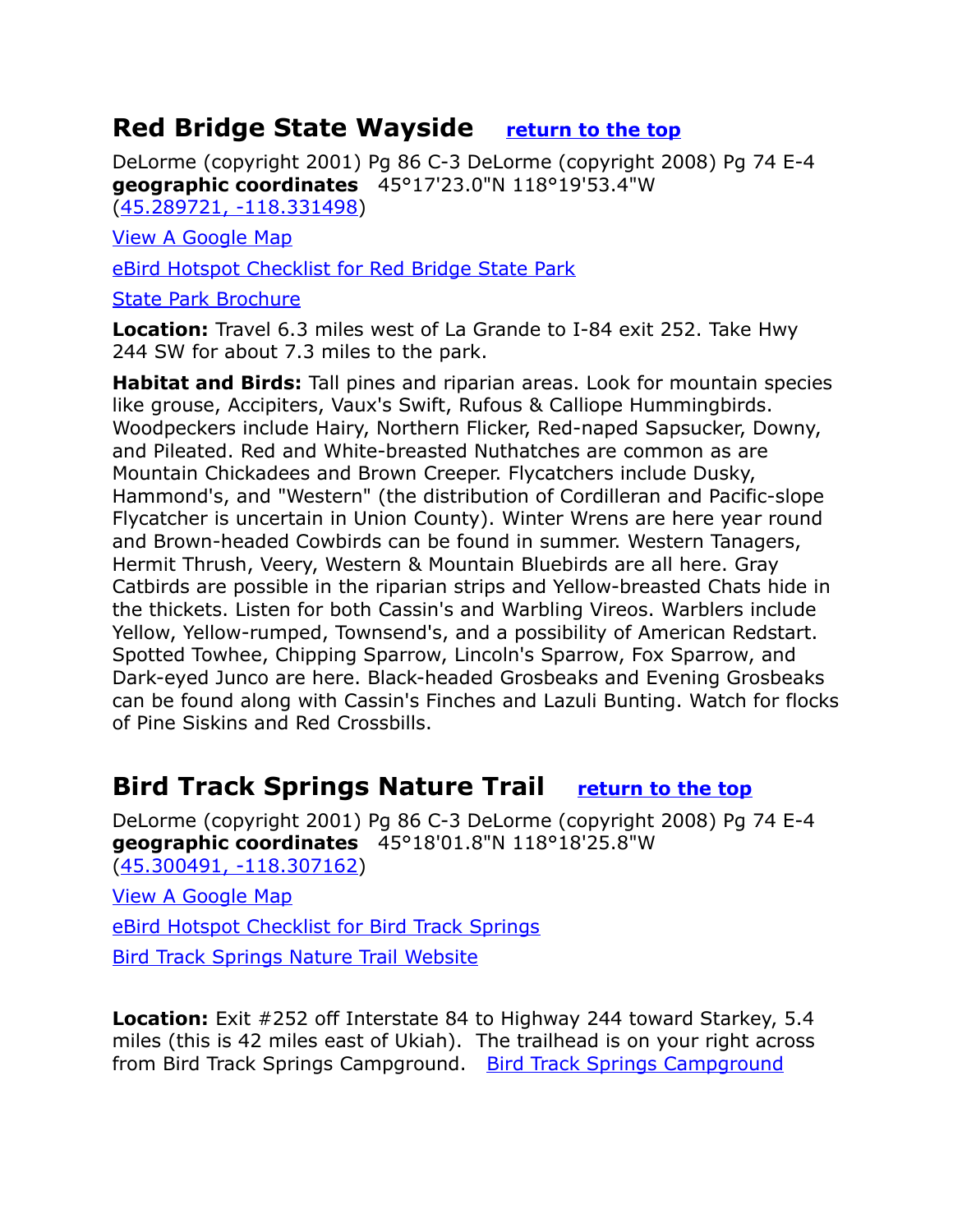## <span id="page-6-1"></span>**Red Bridge State Wayside [return to the top](#page-0-0)**

DeLorme (copyright 2001) Pg 86 C-3 DeLorme (copyright 2008) Pg 74 E-4 **geographic coordinates** 45°17'23.0"N 118°19'53.4"W [\(45.289721, -118.331498\)](https://www.google.com/maps/place/45%C2%B017)

[View A Google Map](http://maps.google.com/maps/ms?hl=en&source=hp&ie=UTF8&msa=0&ll=45.287931,-117.937546&spn=0.369559,1.056747&z=11&msid=108036481085398338899.000477d50ab4cb34cc737)

[eBird Hotspot Checklist for Red Bridge State Park](http://ebird.org/ebird/hotspot/L2511541?yr=all&m=&rank=mrec)

[State Park Brochure](http://oregonstateparks.org/index.cfm?do=parkPage.dsp_parkPage&parkId=14)

**Location:** Travel 6.3 miles west of La Grande to I-84 exit 252. Take Hwy 244 SW for about 7.3 miles to the park.

**Habitat and Birds:** Tall pines and riparian areas. Look for mountain species like grouse, Accipiters, Vaux's Swift, Rufous & Calliope Hummingbirds. Woodpeckers include Hairy, Northern Flicker, Red-naped Sapsucker, Downy, and Pileated. Red and White-breasted Nuthatches are common as are Mountain Chickadees and Brown Creeper. Flycatchers include Dusky, Hammond's, and "Western" (the distribution of Cordilleran and Pacific-slope Flycatcher is uncertain in Union County). Winter Wrens are here year round and Brown-headed Cowbirds can be found in summer. Western Tanagers, Hermit Thrush, Veery, Western & Mountain Bluebirds are all here. Gray Catbirds are possible in the riparian strips and Yellow-breasted Chats hide in the thickets. Listen for both Cassin's and Warbling Vireos. Warblers include Yellow, Yellow-rumped, Townsend's, and a possibility of American Redstart. Spotted Towhee, Chipping Sparrow, Lincoln's Sparrow, Fox Sparrow, and Dark-eyed Junco are here. Black-headed Grosbeaks and Evening Grosbeaks can be found along with Cassin's Finches and Lazuli Bunting. Watch for flocks of Pine Siskins and Red Crossbills.

## <span id="page-6-0"></span>**Bird Track Springs Nature Trail [return to the top](#page-0-0)**

DeLorme (copyright 2001) Pg 86 C-3 DeLorme (copyright 2008) Pg 74 E-4 **geographic coordinates** 45°18'01.8"N 118°18'25.8"W [\(45.300491, -118.307162\)](https://www.google.com/maps/place/45%C2%B018)

[View A Google Map](http://maps.google.com/maps/ms?hl=en&source=hp&ie=UTF8&msa=0&ll=45.287931,-117.937546&spn=0.369559,1.056747&z=11&msid=108036481085398338899.000477d50ab4cb34cc737)

[eBird Hotspot Checklist for Bird Track Springs](http://ebird.org/ebird/hotspot/L746575?yr=all&m=&rank=mrec)

[Bird Track Springs Nature Trail Website](http://www.fs.usda.gov/recarea/wallowa-whitman/recreation/recarea/?recid=52043)

**Location:** Exit #252 off Interstate 84 to Highway 244 toward Starkey, 5.4 miles (this is 42 miles east of Ukiah). The trailhead is on your right across from [Bird Track Springs Campground](http://www.fs.usda.gov/recarea/wallowa-whitman/recarea/?recid=52045). Bird Track Springs Campground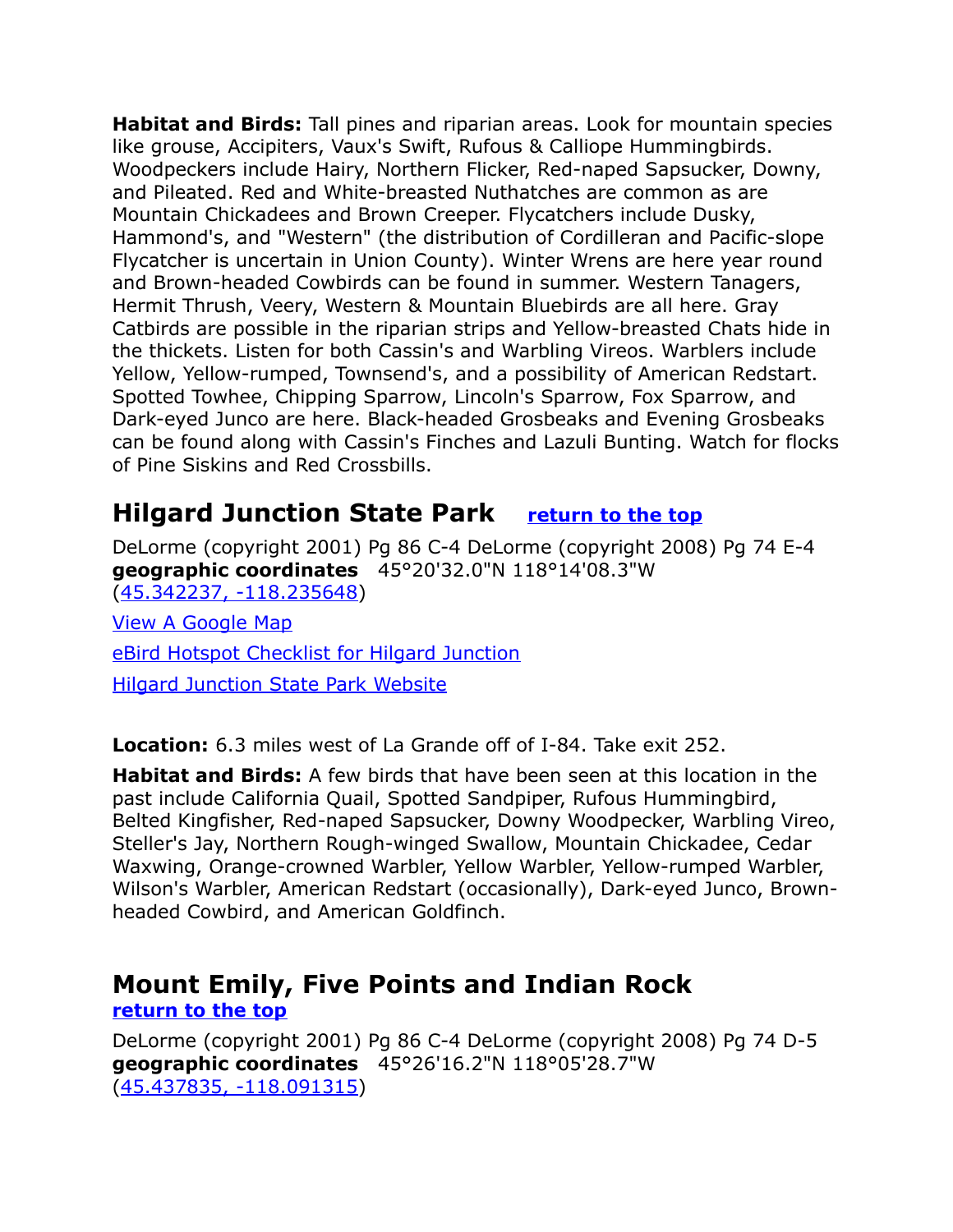**Habitat and Birds:** Tall pines and riparian areas. Look for mountain species like grouse, Accipiters, Vaux's Swift, Rufous & Calliope Hummingbirds. Woodpeckers include Hairy, Northern Flicker, Red-naped Sapsucker, Downy, and Pileated. Red and White-breasted Nuthatches are common as are Mountain Chickadees and Brown Creeper. Flycatchers include Dusky, Hammond's, and "Western" (the distribution of Cordilleran and Pacific-slope Flycatcher is uncertain in Union County). Winter Wrens are here year round and Brown-headed Cowbirds can be found in summer. Western Tanagers, Hermit Thrush, Veery, Western & Mountain Bluebirds are all here. Gray Catbirds are possible in the riparian strips and Yellow-breasted Chats hide in the thickets. Listen for both Cassin's and Warbling Vireos. Warblers include Yellow, Yellow-rumped, Townsend's, and a possibility of American Redstart. Spotted Towhee, Chipping Sparrow, Lincoln's Sparrow, Fox Sparrow, and Dark-eyed Junco are here. Black-headed Grosbeaks and Evening Grosbeaks can be found along with Cassin's Finches and Lazuli Bunting. Watch for flocks of Pine Siskins and Red Crossbills.

## <span id="page-7-1"></span>**Hilgard Junction State Park [return to the top](#page-0-0)**

DeLorme (copyright 2001) Pg 86 C-4 DeLorme (copyright 2008) Pg 74 E-4 **geographic coordinates** 45°20'32.0"N 118°14'08.3"W [\(45.342237, -118.235648\)](https://www.google.com/maps/place/45%C2%B020)

[View A Google Map](http://maps.google.com/maps/ms?hl=en&source=hp&ie=UTF8&msa=0&ll=45.287931,-117.937546&spn=0.369559,1.056747&z=11&msid=108036481085398338899.000477d50ab4cb34cc737) [eBird Hotspot Checklist for Hilgard Junction](http://ebird.org/ebird/hotspot/L454011?yr=all&m=&rank=mrec) [Hilgard Junction State Park Website](http://oregonstateparks.org/index.cfm?do=parkPage.dsp_parkPage&parkId=13)

**Location:** 6.3 miles west of La Grande off of I-84. Take exit 252.

**Habitat and Birds:** A few birds that have been seen at this location in the past include California Quail, Spotted Sandpiper, Rufous Hummingbird, Belted Kingfisher, Red-naped Sapsucker, Downy Woodpecker, Warbling Vireo, Steller's Jay, Northern Rough-winged Swallow, Mountain Chickadee, Cedar Waxwing, Orange-crowned Warbler, Yellow Warbler, Yellow-rumped Warbler, Wilson's Warbler, American Redstart (occasionally), Dark-eyed Junco, Brownheaded Cowbird, and American Goldfinch.

## <span id="page-7-0"></span>**Mount Emily, Five Points and Indian Rock**

**[return to the top](#page-0-0)**

DeLorme (copyright 2001) Pg 86 C-4 DeLorme (copyright 2008) Pg 74 D-5 **geographic coordinates** 45°26'16.2"N 118°05'28.7"W [\(45.437835, -118.091315\)](https://www.google.com/maps/place/45%C2%B026)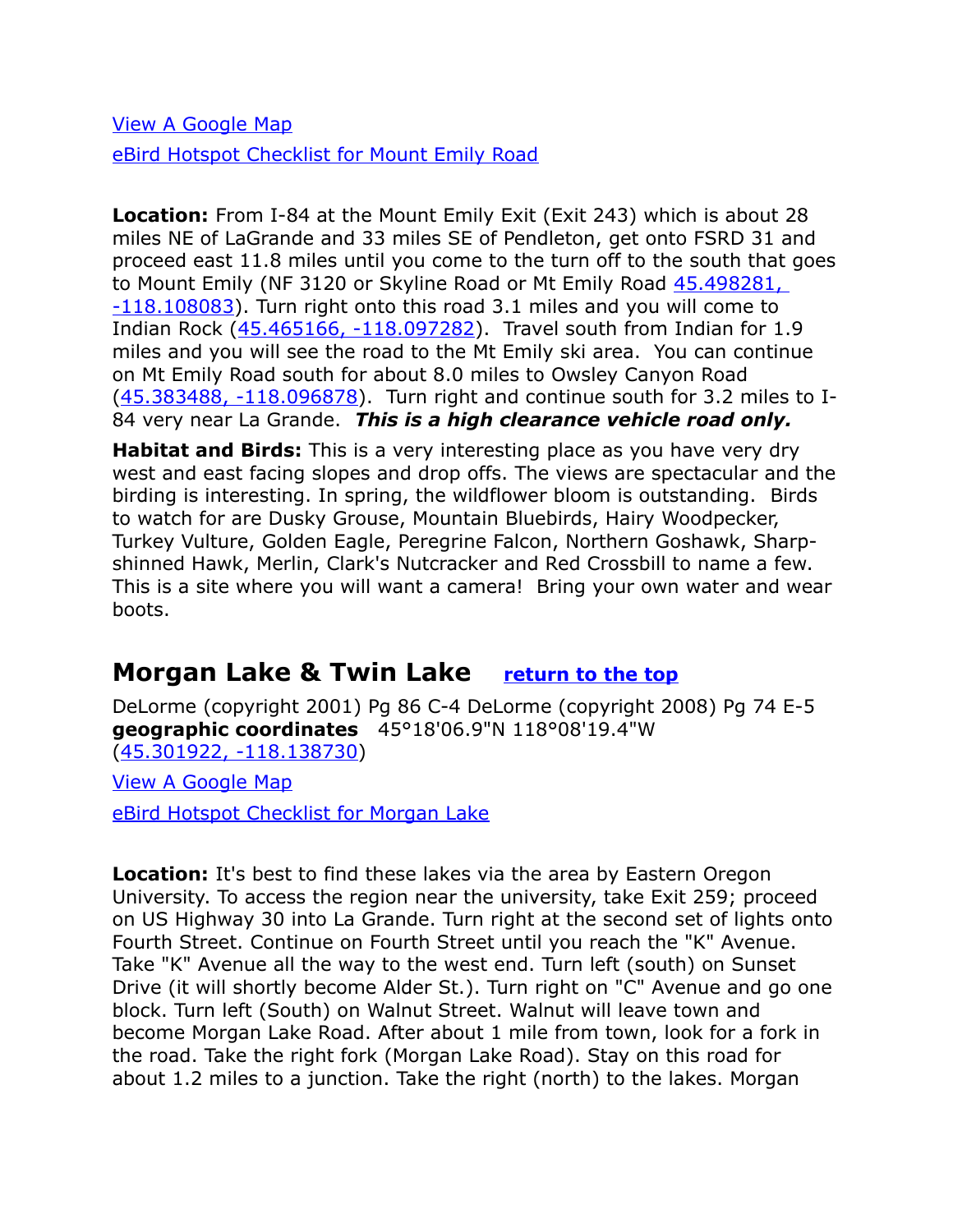[View A Google Map](http://maps.google.com/maps/ms?hl=en&source=hp&ie=UTF8&msa=0&ll=45.287931,-117.937546&spn=0.369559,1.056747&z=11&msid=108036481085398338899.000477d50ab4cb34cc737) [eBird Hotspot Checklist for Mount Emily Road](http://ebird.org/ebird/hotspot/L2800460?yr=all&m=&rank=mrec)

**Location:** From I-84 at the Mount Emily Exit (Exit 243) which is about 28 miles NE of LaGrande and 33 miles SE of Pendleton, get onto FSRD 31 and proceed east 11.8 miles until you come to the turn off to the south that goes to Mount Emily (NF 3120 or Skyline Road or Mt Emily Road [45.498281,](https://www.google.com/maps/place/45%C2%B029)  [-118.108083\)](https://www.google.com/maps/place/45%C2%B029). Turn right onto this road 3.1 miles and you will come to Indian Rock [\(45.465166, -118.097282\)](https://www.google.com/maps/place/45%C2%B027). Travel south from Indian for 1.9 miles and you will see the road to the Mt Emily ski area. You can continue on Mt Emily Road south for about 8.0 miles to Owsley Canyon Road [\(45.383488, -118.096878\)](https://www.google.com/maps/place/45%C2%B023). Turn right and continue south for 3.2 miles to I-84 very near La Grande. *This is a high clearance vehicle road only.*

**Habitat and Birds:** This is a very interesting place as you have very dry west and east facing slopes and drop offs. The views are spectacular and the birding is interesting. In spring, the wildflower bloom is outstanding. Birds to watch for are Dusky Grouse, Mountain Bluebirds, Hairy Woodpecker, Turkey Vulture, Golden Eagle, Peregrine Falcon, Northern Goshawk, Sharpshinned Hawk, Merlin, Clark's Nutcracker and Red Crossbill to name a few. This is a site where you will want a camera! Bring your own water and wear boots.

## <span id="page-8-0"></span>**Morgan Lake & Twin Lake [return to the top](#page-0-0)**

DeLorme (copyright 2001) Pg 86 C-4 DeLorme (copyright 2008) Pg 74 E-5 **geographic coordinates** 45°18'06.9"N 118°08'19.4"W [\(45.301922, -118.138730\)](https://www.google.com/maps/place/45%C2%B018)

[View A Google Map](http://maps.google.com/maps/ms?hl=en&source=hp&ie=UTF8&msa=0&ll=45.287931,-117.937546&spn=0.369559,1.056747&z=11&msid=108036481085398338899.000477d50ab4cb34cc737) [eBird Hotspot Checklist for Morgan Lake](http://ebird.org/ebird/hotspot/L3110785?yr=all&m=&rank=mrec)

**Location:** It's best to find these lakes via the area by Eastern Oregon University. To access the region near the university, take Exit 259; proceed on US Highway 30 into La Grande. Turn right at the second set of lights onto Fourth Street. Continue on Fourth Street until you reach the "K" Avenue. Take "K" Avenue all the way to the west end. Turn left (south) on Sunset Drive (it will shortly become Alder St.). Turn right on "C" Avenue and go one block. Turn left (South) on Walnut Street. Walnut will leave town and become Morgan Lake Road. After about 1 mile from town, look for a fork in the road. Take the right fork (Morgan Lake Road). Stay on this road for about 1.2 miles to a junction. Take the right (north) to the lakes. Morgan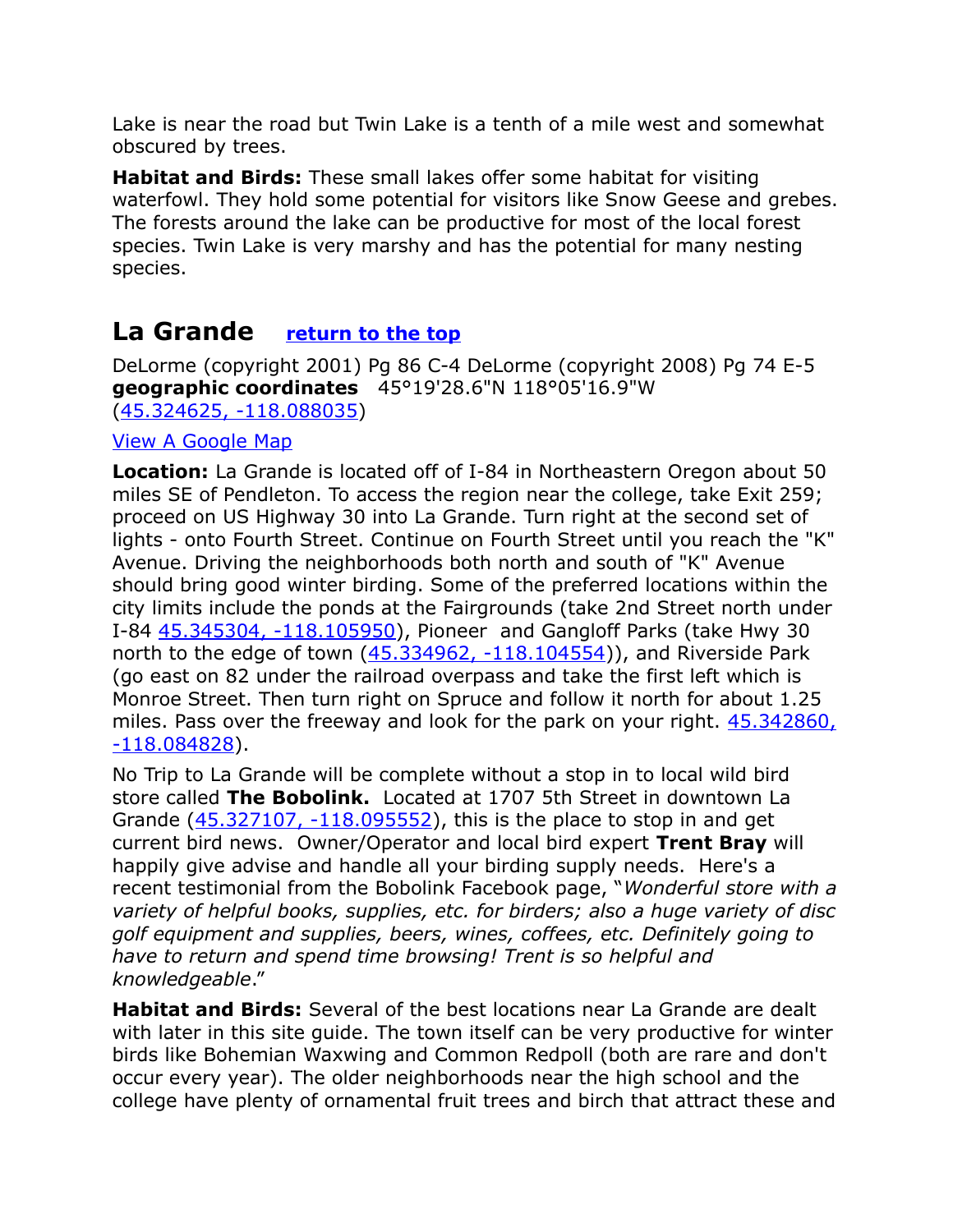Lake is near the road but Twin Lake is a tenth of a mile west and somewhat obscured by trees.

**Habitat and Birds:** These small lakes offer some habitat for visiting waterfowl. They hold some potential for visitors like Snow Geese and grebes. The forests around the lake can be productive for most of the local forest species. Twin Lake is very marshy and has the potential for many nesting species.

## <span id="page-9-0"></span>**La Grande [return to the top](#page-0-0)**

DeLorme (copyright 2001) Pg 86 C-4 DeLorme (copyright 2008) Pg 74 E-5 **geographic coordinates** 45°19'28.6"N 118°05'16.9"W [\(45.324625, -118.088035\)](https://www.google.com/maps/place/45%C2%B019)

#### [View A Google Map](http://maps.google.com/maps/ms?hl=en&source=hp&ie=UTF8&msa=0&ll=45.315098,-118.012047&spn=0.092346,0.264187&z=13&msid=108036481085398338899.000477d4bd570ff484f31)

**Location:** La Grande is located off of I-84 in Northeastern Oregon about 50 miles SE of Pendleton. To access the region near the college, take Exit 259; proceed on US Highway 30 into La Grande. Turn right at the second set of lights - onto Fourth Street. Continue on Fourth Street until you reach the "K" Avenue. Driving the neighborhoods both north and south of "K" Avenue should bring good winter birding. Some of the preferred locations within the city limits include the ponds at the Fairgrounds (take 2nd Street north under I-84 [45.345304, -118.105950\)](https://www.google.com/maps/place/45%C2%B020), Pioneer and Gangloff Parks (take Hwy 30 north to the edge of town [\(45.334962, -118.104554\)](https://www.google.com/maps/place/45%C2%B020)), and Riverside Park (go east on 82 under the railroad overpass and take the first left which is Monroe Street. Then turn right on Spruce and follow it north for about 1.25 miles. Pass over the freeway and look for the park on your right. [45.342860,](https://www.google.com/maps/place/45%C2%B020) [-118.084828\)](https://www.google.com/maps/place/45%C2%B020).

No Trip to La Grande will be complete without a stop in to local wild bird store called **The Bobolink.** Located at 1707 5th Street in downtown La Grande [\(45.327107, -118.095552\)](https://www.google.com/maps/place/45%C2%B019), this is the place to stop in and get current bird news. Owner/Operator and local bird expert **Trent Bray** will happily give advise and handle all your birding supply needs. Here's a recent testimonial from the Bobolink Facebook page, "*Wonderful store with a variety of helpful books, supplies, etc. for birders; also a huge variety of disc golf equipment and supplies, beers, wines, coffees, etc. Definitely going to have to return and spend time browsing! Trent is so helpful and knowledgeable*."

**Habitat and Birds:** Several of the best locations near La Grande are dealt with later in this site guide. The town itself can be very productive for winter birds like Bohemian Waxwing and Common Redpoll (both are rare and don't occur every year). The older neighborhoods near the high school and the college have plenty of ornamental fruit trees and birch that attract these and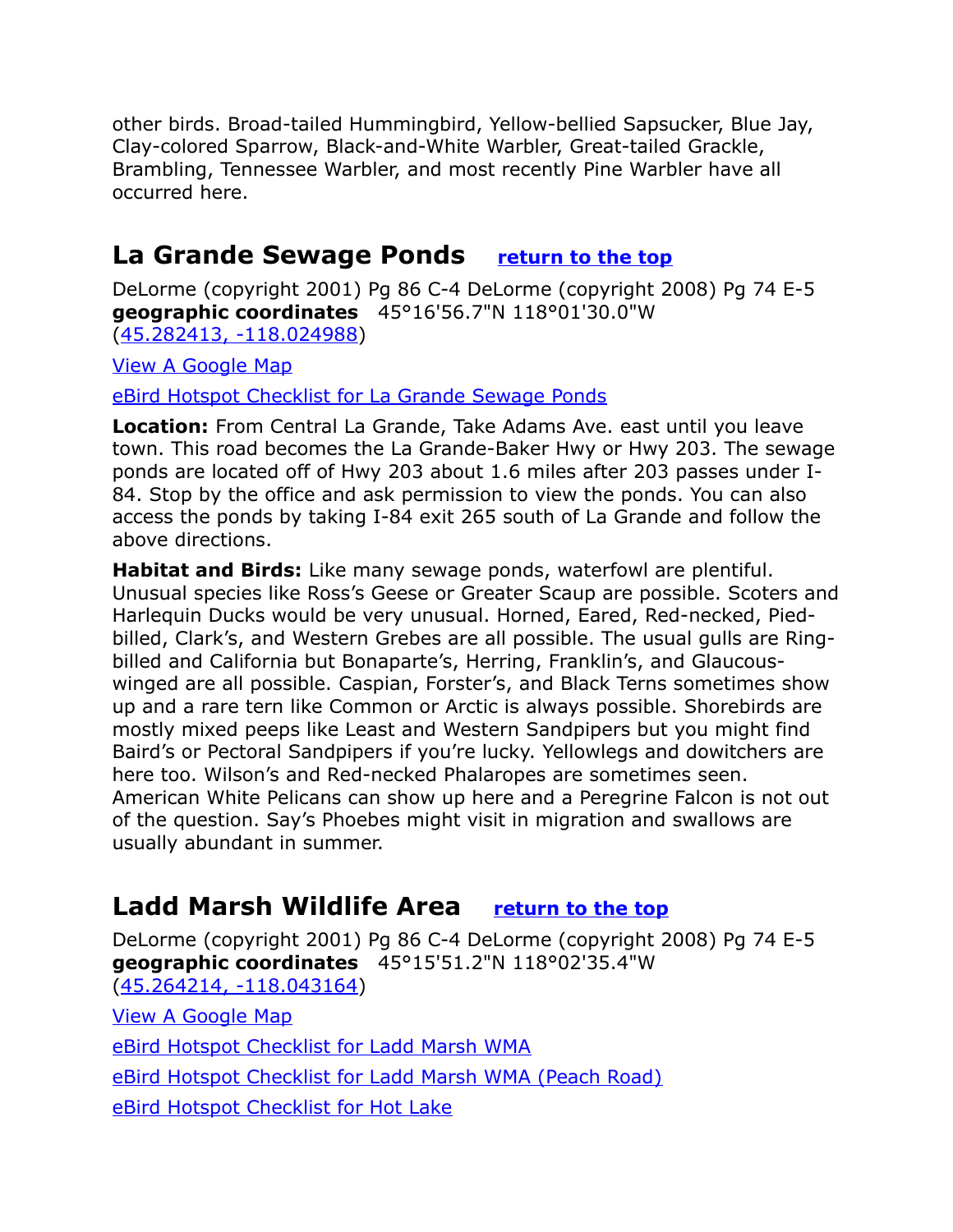other birds. Broad-tailed Hummingbird, Yellow-bellied Sapsucker, Blue Jay, Clay-colored Sparrow, Black-and-White Warbler, Great-tailed Grackle, Brambling, Tennessee Warbler, and most recently Pine Warbler have all occurred here.

## <span id="page-10-1"></span>**La Grande Sewage Ponds [return to the top](#page-0-0)**

DeLorme (copyright 2001) Pg 86 C-4 DeLorme (copyright 2008) Pg 74 E-5 **geographic coordinates** 45°16'56.7"N 118°01'30.0"W [\(45.282413, -118.024988\)](https://www.google.com/maps/place/45%C2%B016)

[View A Google Map](http://maps.google.com/maps/ms?hl=en&ie=UTF8&msa=0&ll=45.212036,-117.671814&spn=0.384083,1.056747&z=11&msid=108036481085398338899.000477e3e4804ba2fdf4b)

[eBird Hotspot Checklist for La Grande Sewage Ponds](http://ebird.org/ebird/hotspot/L1236105?yr=all&m=&rank=mrec)

**Location:** From Central La Grande, Take Adams Ave. east until you leave town. This road becomes the La Grande-Baker Hwy or Hwy 203. The sewage ponds are located off of Hwy 203 about 1.6 miles after 203 passes under I-84. Stop by the office and ask permission to view the ponds. You can also access the ponds by taking I-84 exit 265 south of La Grande and follow the above directions.

**Habitat and Birds:** Like many sewage ponds, waterfowl are plentiful. Unusual species like Ross's Geese or Greater Scaup are possible. Scoters and Harlequin Ducks would be very unusual. Horned, Eared, Red-necked, Piedbilled, Clark's, and Western Grebes are all possible. The usual gulls are Ringbilled and California but Bonaparte's, Herring, Franklin's, and Glaucouswinged are all possible. Caspian, Forster's, and Black Terns sometimes show up and a rare tern like Common or Arctic is always possible. Shorebirds are mostly mixed peeps like Least and Western Sandpipers but you might find Baird's or Pectoral Sandpipers if you're lucky. Yellowlegs and dowitchers are here too. Wilson's and Red-necked Phalaropes are sometimes seen. American White Pelicans can show up here and a Peregrine Falcon is not out of the question. Say's Phoebes might visit in migration and swallows are usually abundant in summer.

## <span id="page-10-0"></span>**Ladd Marsh Wildlife Area [return to the top](#page-0-0)**

DeLorme (copyright 2001) Pg 86 C-4 DeLorme (copyright 2008) Pg 74 E-5 **geographic coordinates** 45°15'51.2"N 118°02'35.4"W [\(45.264214, -118.043164\)](https://www.google.com/maps/place/45%C2%B015)

[View A Google Map](http://maps.google.com/maps/ms?hl=en&ie=UTF8&msa=0&ll=45.043448,-117.280426&spn=0.770439,2.113495&z=10&msid=108036481085398338899.000477e3fcbcf41eeb5ff)

[eBird Hotspot Checklist for Ladd Marsh WMA](http://ebird.org/ebird/hotspot/L948413?yr=all&m=&rank=mrec)

[eBird Hotspot Checklist for Ladd Marsh WMA \(Peach Road\)](http://ebird.org/ebird/hotspot/L948401?yr=all&m=&rank=mrec)

[eBird Hotspot Checklist for Hot Lake](http://ebird.org/ebird/hotspot/L2440431)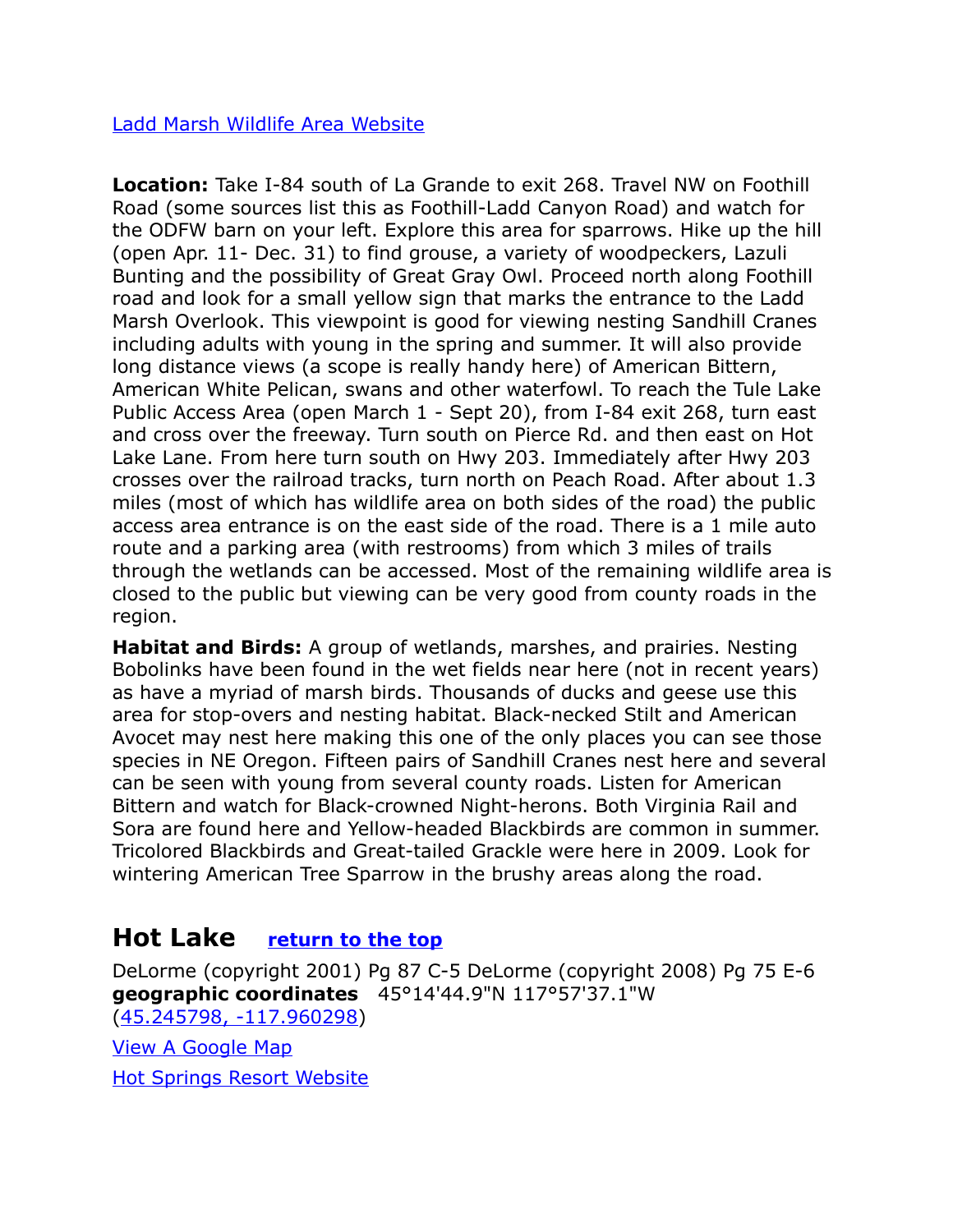#### [Ladd Marsh Wildlife Area Website](http://dfw.state.or.us/resources/visitors/ladd_marsh/index.asp)

**Location:** Take I-84 south of La Grande to exit 268. Travel NW on Foothill Road (some sources list this as Foothill-Ladd Canyon Road) and watch for the ODFW barn on your left. Explore this area for sparrows. Hike up the hill (open Apr. 11- Dec. 31) to find grouse, a variety of woodpeckers, Lazuli Bunting and the possibility of Great Gray Owl. Proceed north along Foothill road and look for a small yellow sign that marks the entrance to the Ladd Marsh Overlook. This viewpoint is good for viewing nesting Sandhill Cranes including adults with young in the spring and summer. It will also provide long distance views (a scope is really handy here) of American Bittern, American White Pelican, swans and other waterfowl. To reach the Tule Lake Public Access Area (open March 1 - Sept 20), from I-84 exit 268, turn east and cross over the freeway. Turn south on Pierce Rd. and then east on Hot Lake Lane. From here turn south on Hwy 203. Immediately after Hwy 203 crosses over the railroad tracks, turn north on Peach Road. After about 1.3 miles (most of which has wildlife area on both sides of the road) the public access area entrance is on the east side of the road. There is a 1 mile auto route and a parking area (with restrooms) from which 3 miles of trails through the wetlands can be accessed. Most of the remaining wildlife area is closed to the public but viewing can be very good from county roads in the region.

**Habitat and Birds:** A group of wetlands, marshes, and prairies. Nesting Bobolinks have been found in the wet fields near here (not in recent years) as have a myriad of marsh birds. Thousands of ducks and geese use this area for stop-overs and nesting habitat. Black-necked Stilt and American Avocet may nest here making this one of the only places you can see those species in NE Oregon. Fifteen pairs of Sandhill Cranes nest here and several can be seen with young from several county roads. Listen for American Bittern and watch for Black-crowned Night-herons. Both Virginia Rail and Sora are found here and Yellow-headed Blackbirds are common in summer. Tricolored Blackbirds and Great-tailed Grackle were here in 2009. Look for wintering American Tree Sparrow in the brushy areas along the road.

## <span id="page-11-0"></span>**Hot Lake [return to the top](#page-0-0)**

DeLorme (copyright 2001) Pg 87 C-5 DeLorme (copyright 2008) Pg 75 E-6 **geographic coordinates** 45°14'44.9"N 117°57'37.1"W [\(45.245798, -117.960298\)](https://www.google.com/maps/place/45%C2%B014) [View A Google Map](http://maps.google.com/maps/ms?hl=en&ie=UTF8&msa=0&ll=45.212036,-117.671814&spn=0.384083,1.056747&z=11&msid=108036481085398338899.000477e3e4804ba2fdf4b) [Hot Springs Resort Website](http://www.hotlakesprings.com/index.html)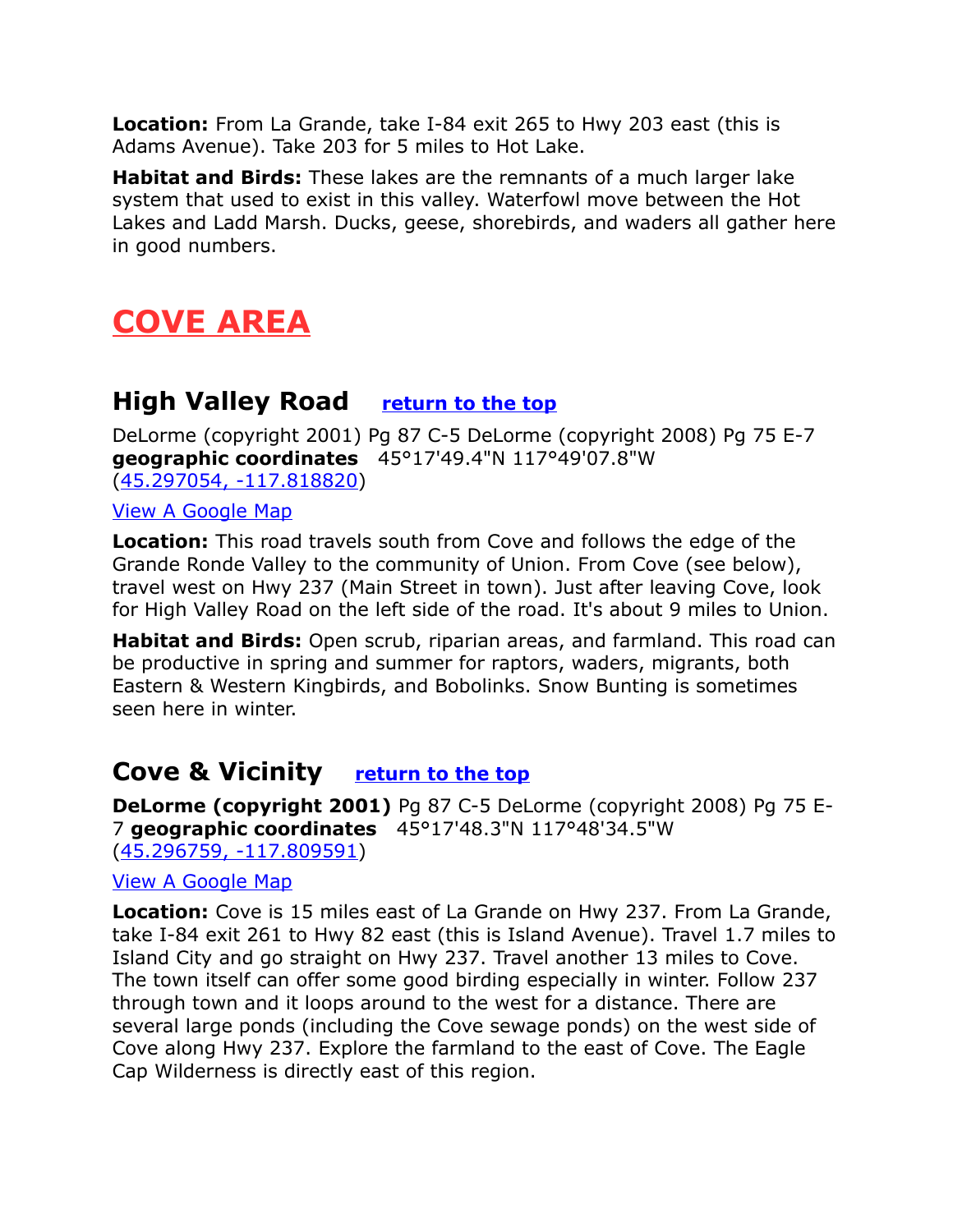**Location:** From La Grande, take I-84 exit 265 to Hwy 203 east (this is Adams Avenue). Take 203 for 5 miles to Hot Lake.

**Habitat and Birds:** These lakes are the remnants of a much larger lake system that used to exist in this valley. Waterfowl move between the Hot Lakes and Ladd Marsh. Ducks, geese, shorebirds, and waders all gather here in good numbers.

## <span id="page-12-2"></span>**COVE AREA**

## <span id="page-12-1"></span>**High Valley Road [return to the top](#page-0-0)**

DeLorme (copyright 2001) Pg 87 C-5 DeLorme (copyright 2008) Pg 75 E-7 **geographic coordinates** 45°17'49.4"N 117°49'07.8"W [\(45.297054, -117.818820\)](https://www.google.com/maps/place/45%C2%B017)

[View A Google Map](http://maps.google.com/maps/ms?hl=en&ie=UTF8&msa=0&ll=45.212036,-117.671814&spn=0.384083,1.056747&z=11&msid=108036481085398338899.000477e3e4804ba2fdf4b)

**Location:** This road travels south from Cove and follows the edge of the Grande Ronde Valley to the community of Union. From Cove (see below), travel west on Hwy 237 (Main Street in town). Just after leaving Cove, look for High Valley Road on the left side of the road. It's about 9 miles to Union.

**Habitat and Birds:** Open scrub, riparian areas, and farmland. This road can be productive in spring and summer for raptors, waders, migrants, both Eastern & Western Kingbirds, and Bobolinks. Snow Bunting is sometimes seen here in winter.

## <span id="page-12-0"></span>**Cove & Vicinity [return to the top](#page-0-0)**

**DeLorme (copyright 2001)** Pg 87 C-5 DeLorme (copyright 2008) Pg 75 E-7 **geographic coordinates** 45°17'48.3"N 117°48'34.5"W [\(45.296759, -117.809591\)](https://www.google.com/maps/place/45%C2%B017)

#### [View A Google Map](http://maps.google.com/maps/ms?hl=en&ie=UTF8&msa=0&ll=45.212036,-117.671814&spn=0.384083,1.056747&z=11&msid=108036481085398338899.000477e3e4804ba2fdf4b)

**Location:** Cove is 15 miles east of La Grande on Hwy 237. From La Grande, take I-84 exit 261 to Hwy 82 east (this is Island Avenue). Travel 1.7 miles to Island City and go straight on Hwy 237. Travel another 13 miles to Cove. The town itself can offer some good birding especially in winter. Follow 237 through town and it loops around to the west for a distance. There are several large ponds (including the Cove sewage ponds) on the west side of Cove along Hwy 237. Explore the farmland to the east of Cove. The Eagle Cap Wilderness is directly east of this region.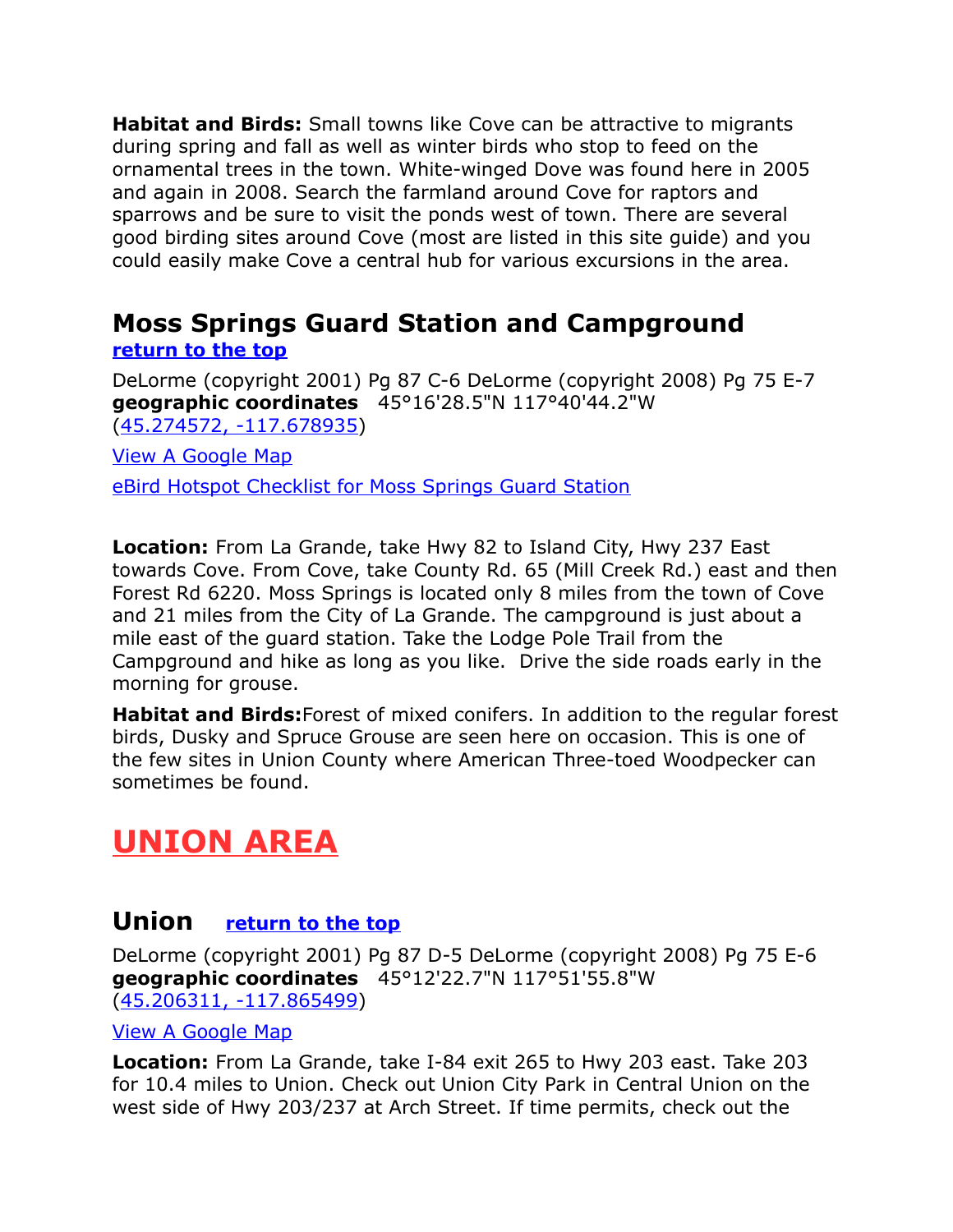**Habitat and Birds:** Small towns like Cove can be attractive to migrants during spring and fall as well as winter birds who stop to feed on the ornamental trees in the town. White-winged Dove was found here in 2005 and again in 2008. Search the farmland around Cove for raptors and sparrows and be sure to visit the ponds west of town. There are several good birding sites around Cove (most are listed in this site guide) and you could easily make Cove a central hub for various excursions in the area.

#### <span id="page-13-0"></span>**Moss Springs Guard Station and Campground [return to the top](#page-0-0)**

DeLorme (copyright 2001) Pg 87 C-6 DeLorme (copyright 2008) Pg 75 E-7 **geographic coordinates** 45°16'28.5"N 117°40'44.2"W [\(45.274572, -117.678935\)](https://www.google.com/maps/place/45%C2%B016)

[View A Google Map](http://maps.google.com/maps/ms?hl=en&ie=UTF8&msa=0&ll=45.212036,-117.671814&spn=0.384083,1.056747&z=11&msid=108036481085398338899.000477e3e4804ba2fdf4b)

[eBird Hotspot Checklist for Moss Springs Guard Station](http://ebird.org/ebird/hotspot/L1393306?yr=all&m=&rank=mrec)

**Location:** From La Grande, take Hwy 82 to Island City, Hwy 237 East towards Cove. From Cove, take County Rd. 65 (Mill Creek Rd.) east and then Forest Rd 6220. Moss Springs is located only 8 miles from the town of Cove and 21 miles from the City of La Grande. The campground is just about a mile east of the guard station. Take the Lodge Pole Trail from the Campground and hike as long as you like. Drive the side roads early in the morning for grouse.

**Habitat and Birds:**Forest of mixed conifers. In addition to the regular forest birds, Dusky and Spruce Grouse are seen here on occasion. This is one of the few sites in Union County where American Three-toed Woodpecker can sometimes be found.

## <span id="page-13-2"></span>**UNION AREA**

## <span id="page-13-1"></span>**Union [return to the top](#page-0-0)**

DeLorme (copyright 2001) Pg 87 D-5 DeLorme (copyright 2008) Pg 75 E-6 **geographic coordinates** 45°12'22.7"N 117°51'55.8"W [\(45.206311, -117.865499\)](https://www.google.com/maps/place/45%C2%B012)

#### [View A Google Map](http://maps.google.com/maps/ms?hl=en&ie=UTF8&msa=0&msid=108036481085398338899.000477f30620513da5599&ll=45.068671,-117.255707&spn=0.7701,2.113495&z=10)

**Location:** From La Grande, take I-84 exit 265 to Hwy 203 east. Take 203 for 10.4 miles to Union. Check out Union City Park in Central Union on the west side of Hwy 203/237 at Arch Street. If time permits, check out the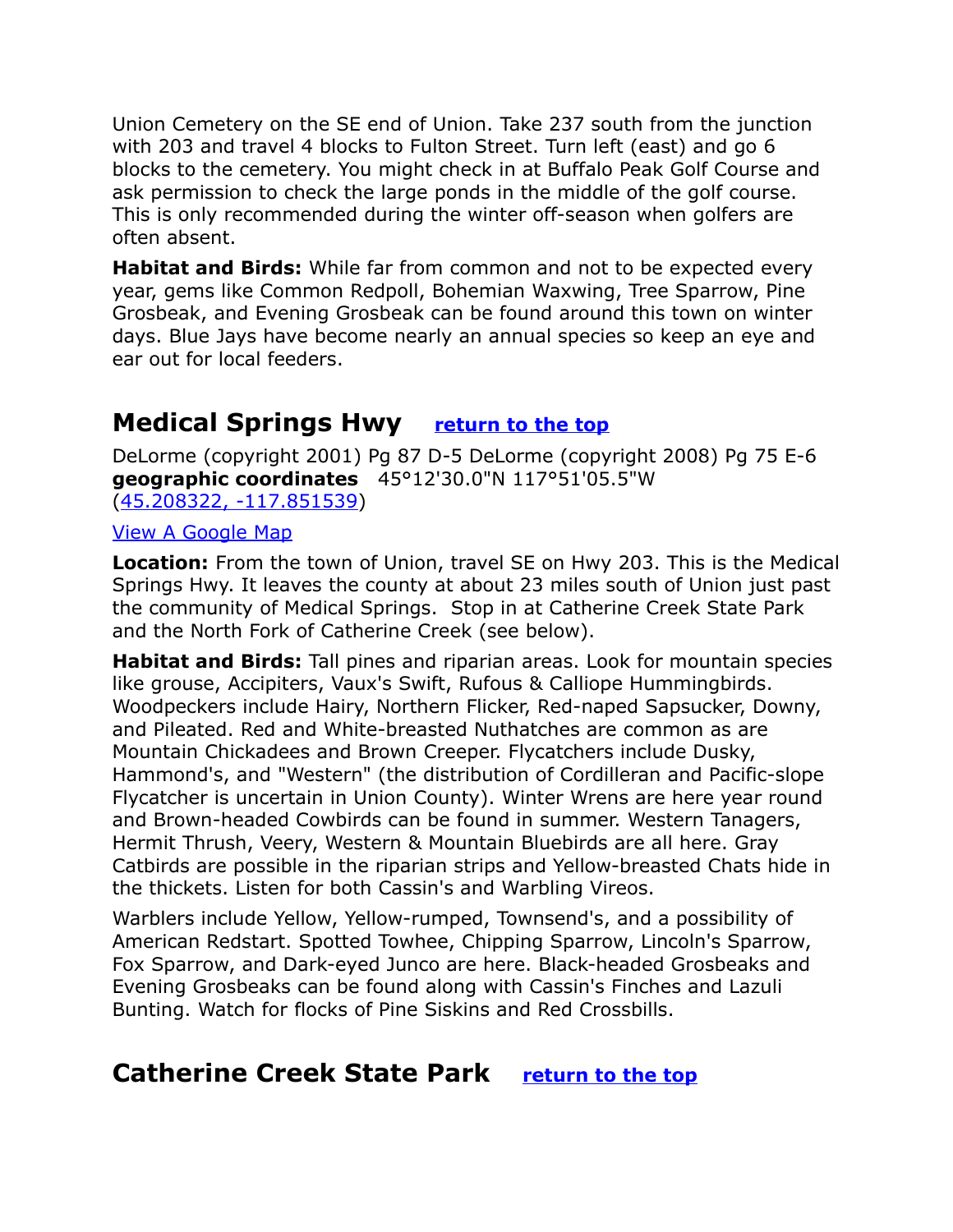Union Cemetery on the SE end of Union. Take 237 south from the junction with 203 and travel 4 blocks to Fulton Street. Turn left (east) and go 6 blocks to the cemetery. You might check in at Buffalo Peak Golf Course and ask permission to check the large ponds in the middle of the golf course. This is only recommended during the winter off-season when golfers are often absent.

**Habitat and Birds:** While far from common and not to be expected every year, gems like Common Redpoll, Bohemian Waxwing, Tree Sparrow, Pine Grosbeak, and Evening Grosbeak can be found around this town on winter days. Blue Jays have become nearly an annual species so keep an eye and ear out for local feeders.

## <span id="page-14-1"></span>**Medical Springs Hwy [return to the top](#page-0-0)**

DeLorme (copyright 2001) Pg 87 D-5 DeLorme (copyright 2008) Pg 75 E-6 **geographic coordinates** 45°12'30.0"N 117°51'05.5"W [\(45.208322, -117.851539\)](https://www.google.com/maps/place/45%C2%B012)

#### [View A Google Map](http://maps.google.com/maps/ms?hl=en&ie=UTF8&msa=0&msid=108036481085398338899.000477f30620513da5599&ll=45.068671,-117.255707&spn=0.7701,2.113495&z=10)

**Location:** From the town of Union, travel SE on Hwy 203. This is the Medical Springs Hwy. It leaves the county at about 23 miles south of Union just past the community of Medical Springs. Stop in at Catherine Creek State Park and the North Fork of Catherine Creek (see below).

**Habitat and Birds:** Tall pines and riparian areas. Look for mountain species like grouse, Accipiters, Vaux's Swift, Rufous & Calliope Hummingbirds. Woodpeckers include Hairy, Northern Flicker, Red-naped Sapsucker, Downy, and Pileated. Red and White-breasted Nuthatches are common as are Mountain Chickadees and Brown Creeper. Flycatchers include Dusky, Hammond's, and "Western" (the distribution of Cordilleran and Pacific-slope Flycatcher is uncertain in Union County). Winter Wrens are here year round and Brown-headed Cowbirds can be found in summer. Western Tanagers, Hermit Thrush, Veery, Western & Mountain Bluebirds are all here. Gray Catbirds are possible in the riparian strips and Yellow-breasted Chats hide in the thickets. Listen for both Cassin's and Warbling Vireos.

Warblers include Yellow, Yellow-rumped, Townsend's, and a possibility of American Redstart. Spotted Towhee, Chipping Sparrow, Lincoln's Sparrow, Fox Sparrow, and Dark-eyed Junco are here. Black-headed Grosbeaks and Evening Grosbeaks can be found along with Cassin's Finches and Lazuli Bunting. Watch for flocks of Pine Siskins and Red Crossbills.

## <span id="page-14-0"></span>**Catherine Creek State Park [return to the top](#page-0-0)**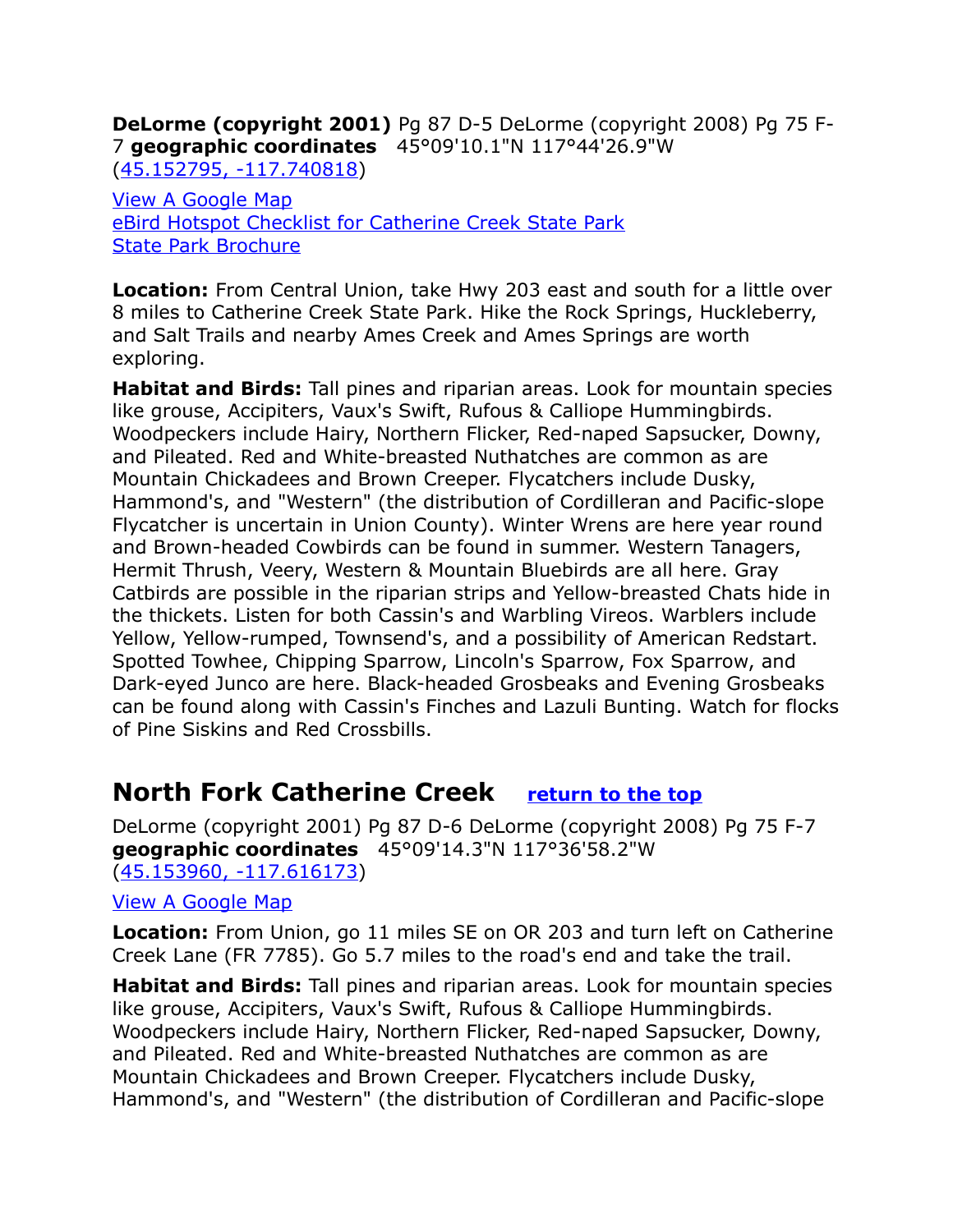**DeLorme (copyright 2001)** Pg 87 D-5 DeLorme (copyright 2008) Pg 75 F-7 **geographic coordinates** 45°09'10.1"N 117°44'26.9"W [\(45.152795, -117.740818\)](https://www.google.com/maps/place/45%C2%B009)

[View A Google Map](http://maps.google.com/maps/ms?hl=en&ie=UTF8&msa=0&msid=108036481085398338899.000477f30620513da5599&ll=45.068671,-117.255707&spn=0.7701,2.113495&z=10)  [eBird Hotspot Checklist for Catherine Creek State Park](http://ebird.org/ebird/hotspot/L2932669?yr=all&m=&rank=mrec)  [State Park Brochure](http://oregonstateparks.org/index.cfm?do=parkPage.dsp_parkPage&parkId=11)

**Location:** From Central Union, take Hwy 203 east and south for a little over 8 miles to Catherine Creek State Park. Hike the Rock Springs, Huckleberry, and Salt Trails and nearby Ames Creek and Ames Springs are worth exploring.

**Habitat and Birds:** Tall pines and riparian areas. Look for mountain species like grouse, Accipiters, Vaux's Swift, Rufous & Calliope Hummingbirds. Woodpeckers include Hairy, Northern Flicker, Red-naped Sapsucker, Downy, and Pileated. Red and White-breasted Nuthatches are common as are Mountain Chickadees and Brown Creeper. Flycatchers include Dusky, Hammond's, and "Western" (the distribution of Cordilleran and Pacific-slope Flycatcher is uncertain in Union County). Winter Wrens are here year round and Brown-headed Cowbirds can be found in summer. Western Tanagers, Hermit Thrush, Veery, Western & Mountain Bluebirds are all here. Gray Catbirds are possible in the riparian strips and Yellow-breasted Chats hide in the thickets. Listen for both Cassin's and Warbling Vireos. Warblers include Yellow, Yellow-rumped, Townsend's, and a possibility of American Redstart. Spotted Towhee, Chipping Sparrow, Lincoln's Sparrow, Fox Sparrow, and Dark-eyed Junco are here. Black-headed Grosbeaks and Evening Grosbeaks can be found along with Cassin's Finches and Lazuli Bunting. Watch for flocks of Pine Siskins and Red Crossbills.

## <span id="page-15-0"></span>**North Fork Catherine Creek [return to the top](#page-0-0)**

DeLorme (copyright 2001) Pg 87 D-6 DeLorme (copyright 2008) Pg 75 F-7 **geographic coordinates** 45°09'14.3"N 117°36'58.2"W [\(45.153960, -117.616173\)](https://www.google.com/maps/place/45%C2%B009)

#### [View A Google Map](http://maps.google.com/maps/ms?hl=en&ie=UTF8&msa=0&msid=108036481085398338899.000477f30620513da5599&ll=45.068671,-117.255707&spn=0.7701,2.113495&z=10)

**Location:** From Union, go 11 miles SE on OR 203 and turn left on Catherine Creek Lane (FR 7785). Go 5.7 miles to the road's end and take the trail.

**Habitat and Birds:** Tall pines and riparian areas. Look for mountain species like grouse, Accipiters, Vaux's Swift, Rufous & Calliope Hummingbirds. Woodpeckers include Hairy, Northern Flicker, Red-naped Sapsucker, Downy, and Pileated. Red and White-breasted Nuthatches are common as are Mountain Chickadees and Brown Creeper. Flycatchers include Dusky, Hammond's, and "Western" (the distribution of Cordilleran and Pacific-slope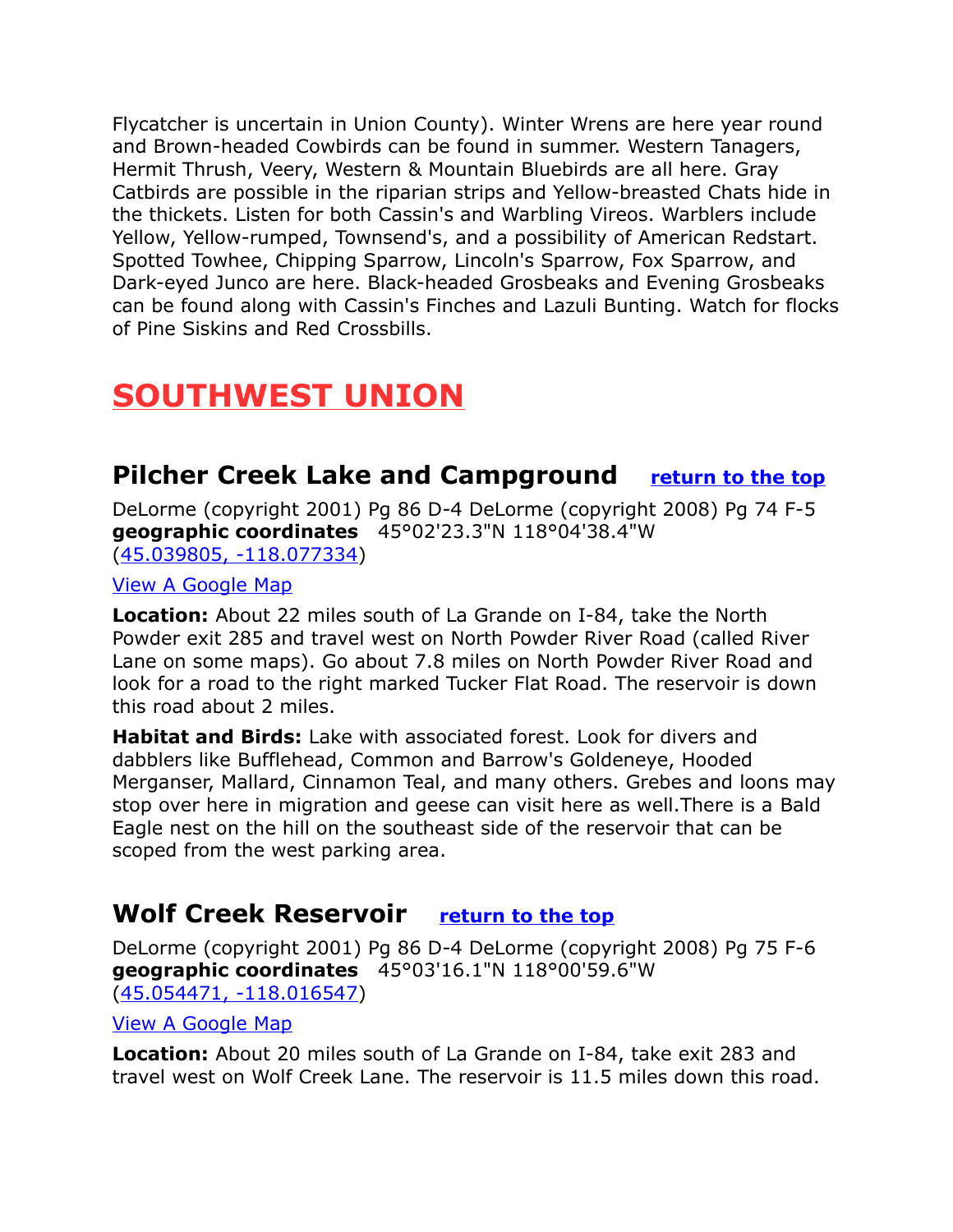Flycatcher is uncertain in Union County). Winter Wrens are here year round and Brown-headed Cowbirds can be found in summer. Western Tanagers, Hermit Thrush, Veery, Western & Mountain Bluebirds are all here. Gray Catbirds are possible in the riparian strips and Yellow-breasted Chats hide in the thickets. Listen for both Cassin's and Warbling Vireos. Warblers include Yellow, Yellow-rumped, Townsend's, and a possibility of American Redstart. Spotted Towhee, Chipping Sparrow, Lincoln's Sparrow, Fox Sparrow, and Dark-eyed Junco are here. Black-headed Grosbeaks and Evening Grosbeaks can be found along with Cassin's Finches and Lazuli Bunting. Watch for flocks of Pine Siskins and Red Crossbills.

## <span id="page-16-2"></span>**SOUTHWEST UNION**

## <span id="page-16-1"></span>**Pilcher Creek Lake and Campground [return to the top](#page-0-0)**

DeLorme (copyright 2001) Pg 86 D-4 DeLorme (copyright 2008) Pg 74 F-5 **geographic coordinates** 45°02'23.3"N 118°04'38.4"W [\(45.039805, -118.077334\)](https://www.google.com/maps/place/45%C2%B002)

[View A Google Map](http://maps.google.com/maps/ms?hl=en&ie=UTF8&msa=0&ll=45.043448,-117.280426&spn=0.770439,2.113495&z=10&msid=108036481085398338899.000477e3fcbcf41eeb5ff)

**Location:** About 22 miles south of La Grande on I-84, take the North Powder exit 285 and travel west on North Powder River Road (called River Lane on some maps). Go about 7.8 miles on North Powder River Road and look for a road to the right marked Tucker Flat Road. The reservoir is down this road about 2 miles.

**Habitat and Birds:** Lake with associated forest. Look for divers and dabblers like Bufflehead, Common and Barrow's Goldeneye, Hooded Merganser, Mallard, Cinnamon Teal, and many others. Grebes and loons may stop over here in migration and geese can visit here as well.There is a Bald Eagle nest on the hill on the southeast side of the reservoir that can be scoped from the west parking area.

## <span id="page-16-0"></span>**Wolf Creek Reservoir [return to the top](#page-0-0)**

DeLorme (copyright 2001) Pg 86 D-4 DeLorme (copyright 2008) Pg 75 F-6 **geographic coordinates** 45°03'16.1"N 118°00'59.6"W [\(45.054471, -118.016547\)](https://www.google.com/maps/place/45%C2%B003)

[View A Google Map](http://maps.google.com/maps/ms?hl=en&ie=UTF8&msa=0&ll=45.043448,-117.280426&spn=0.770439,2.113495&z=10&msid=108036481085398338899.000477e3fcbcf41eeb5ff)

**Location:** About 20 miles south of La Grande on I-84, take exit 283 and travel west on Wolf Creek Lane. The reservoir is 11.5 miles down this road.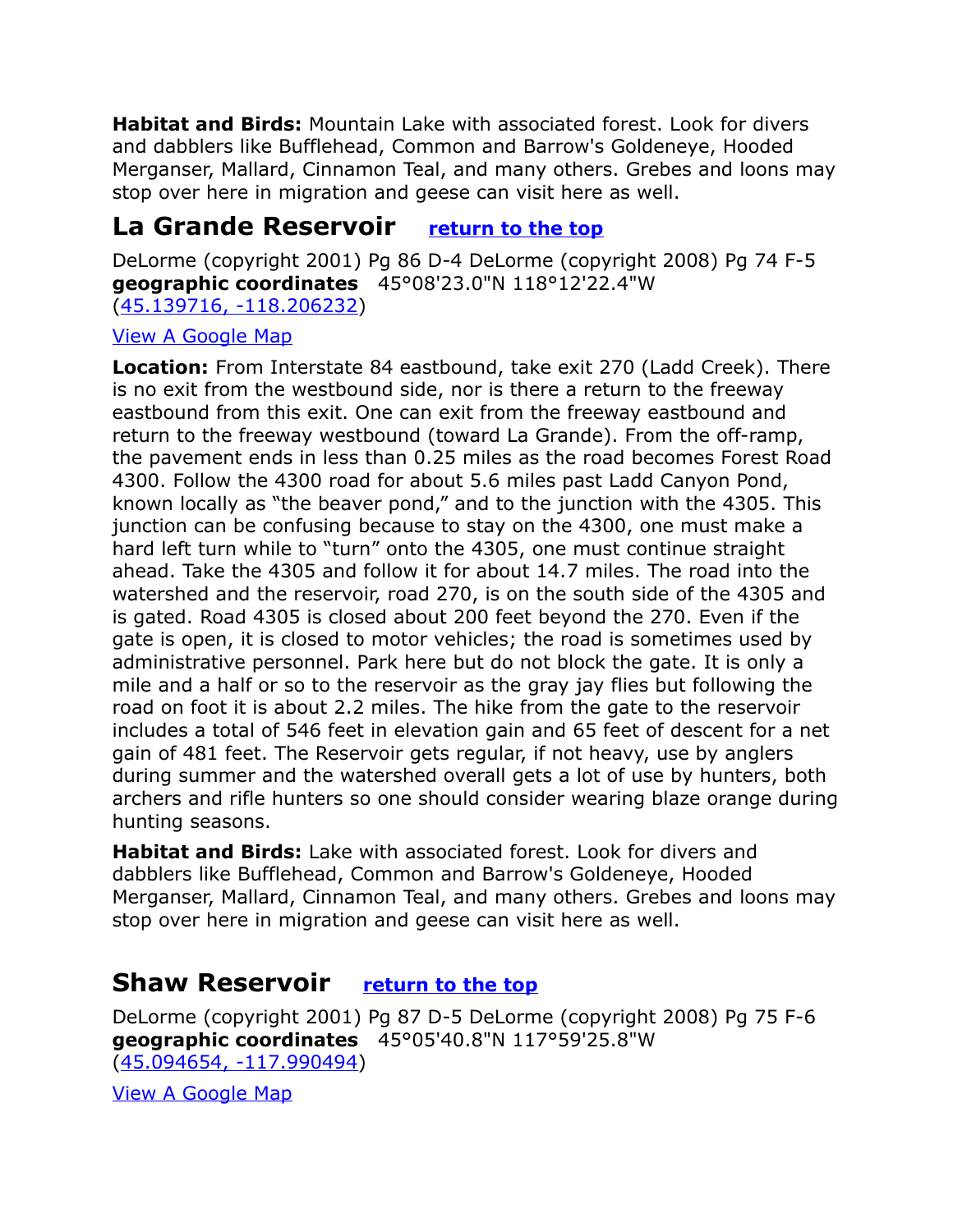**Habitat and Birds:** Mountain Lake with associated forest. Look for divers and dabblers like Bufflehead, Common and Barrow's Goldeneye, Hooded Merganser, Mallard, Cinnamon Teal, and many others. Grebes and loons may stop over here in migration and geese can visit here as well.

## <span id="page-17-1"></span>**La Grande Reservoir [return to the top](#page-0-0)**

DeLorme (copyright 2001) Pg 86 D-4 DeLorme (copyright 2008) Pg 74 F-5 **geographic coordinates** 45°08'23.0"N 118°12'22.4"W [\(45.139716, -118.206232\)](https://www.google.com/maps/place/45%C2%B008)

#### [View A Google Map](http://maps.google.com/maps/ms?hl=en&ie=UTF8&msa=0&msid=108036481085398338899.000477f8ad7681b3cfe8c&ll=45.087096,-117.765198&spn=0.447949,1.234589&z=10)

**Location:** From Interstate 84 eastbound, take exit 270 (Ladd Creek). There is no exit from the westbound side, nor is there a return to the freeway eastbound from this exit. One can exit from the freeway eastbound and return to the freeway westbound (toward La Grande). From the off-ramp, the pavement ends in less than 0.25 miles as the road becomes Forest Road 4300. Follow the 4300 road for about 5.6 miles past Ladd Canyon Pond, known locally as "the beaver pond," and to the junction with the 4305. This junction can be confusing because to stay on the 4300, one must make a hard left turn while to "turn" onto the 4305, one must continue straight ahead. Take the 4305 and follow it for about 14.7 miles. The road into the watershed and the reservoir, road 270, is on the south side of the 4305 and is gated. Road 4305 is closed about 200 feet beyond the 270. Even if the gate is open, it is closed to motor vehicles; the road is sometimes used by administrative personnel. Park here but do not block the gate. It is only a mile and a half or so to the reservoir as the gray jay flies but following the road on foot it is about 2.2 miles. The hike from the gate to the reservoir includes a total of 546 feet in elevation gain and 65 feet of descent for a net gain of 481 feet. The Reservoir gets regular, if not heavy, use by anglers during summer and the watershed overall gets a lot of use by hunters, both archers and rifle hunters so one should consider wearing blaze orange during hunting seasons.

**Habitat and Birds:** Lake with associated forest. Look for divers and dabblers like Bufflehead, Common and Barrow's Goldeneye, Hooded Merganser, Mallard, Cinnamon Teal, and many others. Grebes and loons may stop over here in migration and geese can visit here as well.

## <span id="page-17-0"></span>**Shaw Reservoir [return to the top](#page-0-0)**

DeLorme (copyright 2001) Pg 87 D-5 DeLorme (copyright 2008) Pg 75 F-6 **geographic coordinates** 45°05'40.8"N 117°59'25.8"W [\(45.094654, -117.990494\)](https://www.google.com/maps/place/45%C2%B005)

[View A Google Map](http://maps.google.com/maps/ms?hl=en&ie=UTF8&msa=0&msid=108036481085398338899.000477f8ad7681b3cfe8c&ll=45.087096,-117.765198&spn=0.447949,1.234589&z=10)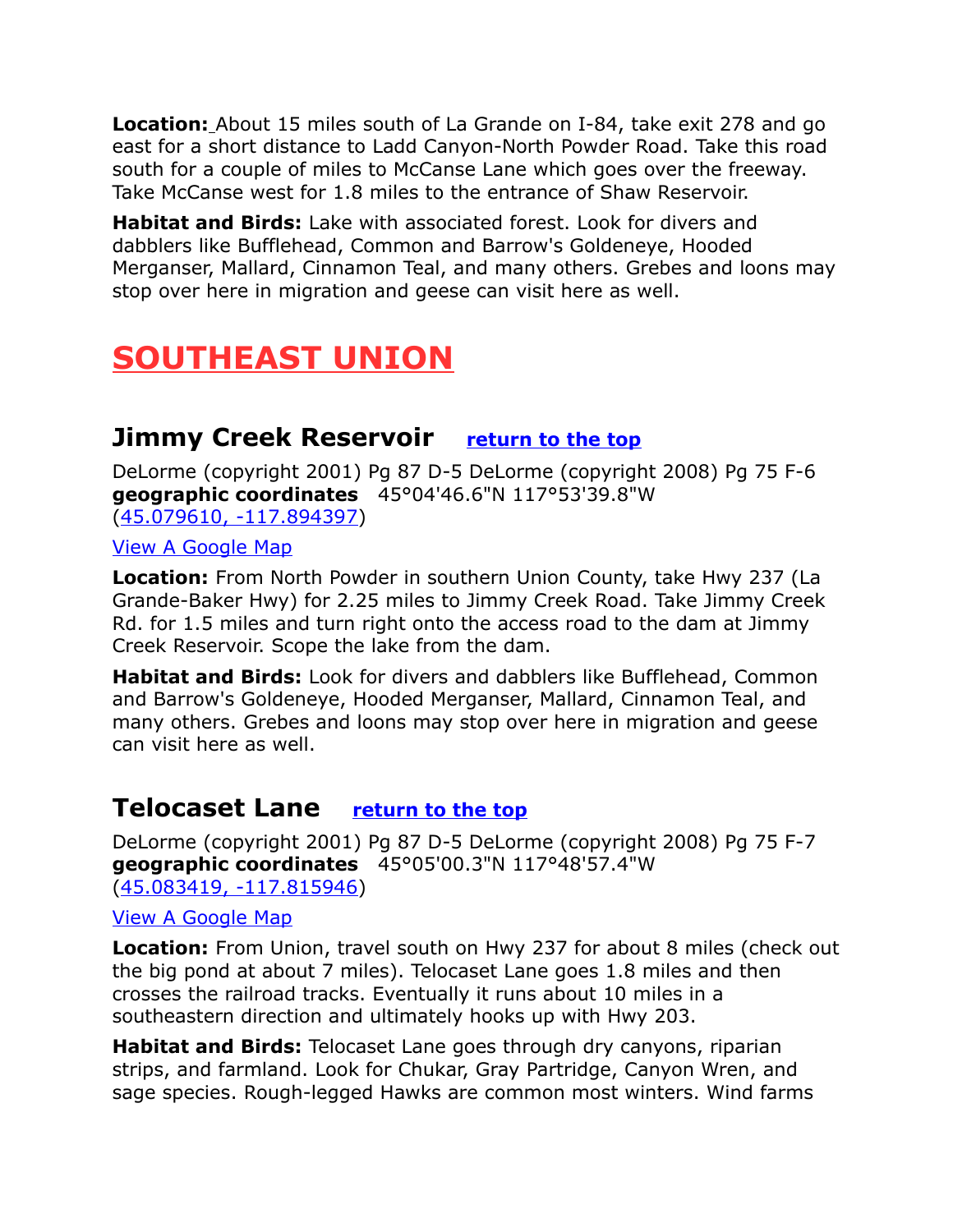**Location:** About 15 miles south of La Grande on I-84, take exit 278 and go east for a short distance to Ladd Canyon-North Powder Road. Take this road south for a couple of miles to McCanse Lane which goes over the freeway. Take McCanse west for 1.8 miles to the entrance of Shaw Reservoir.

**Habitat and Birds:** Lake with associated forest. Look for divers and dabblers like Bufflehead, Common and Barrow's Goldeneye, Hooded Merganser, Mallard, Cinnamon Teal, and many others. Grebes and loons may stop over here in migration and geese can visit here as well.

## <span id="page-18-2"></span>**SOUTHEAST UNION**

### <span id="page-18-1"></span>**Jimmy Creek Reservoir [return to the top](#page-0-0)**

DeLorme (copyright 2001) Pg 87 D-5 DeLorme (copyright 2008) Pg 75 F-6 **geographic coordinates** 45°04'46.6"N 117°53'39.8"W [\(45.079610, -117.894397\)](https://www.google.com/maps/place/45%C2%B004)

[View A Google Map](http://maps.google.com/maps/ms?hl=en&ie=UTF8&msa=0&ll=45.043448,-117.280426&spn=0.770439,2.113495&z=10&msid=108036481085398338899.000477e3fcbcf41eeb5ff)

**Location:** From North Powder in southern Union County, take Hwy 237 (La Grande-Baker Hwy) for 2.25 miles to Jimmy Creek Road. Take Jimmy Creek Rd. for 1.5 miles and turn right onto the access road to the dam at Jimmy Creek Reservoir. Scope the lake from the dam.

**Habitat and Birds:** Look for divers and dabblers like Bufflehead, Common and Barrow's Goldeneye, Hooded Merganser, Mallard, Cinnamon Teal, and many others. Grebes and loons may stop over here in migration and geese can visit here as well.

## <span id="page-18-0"></span>**Telocaset Lane [return to the top](#page-0-0)**

DeLorme (copyright 2001) Pg 87 D-5 DeLorme (copyright 2008) Pg 75 F-7 **geographic coordinates** 45°05'00.3"N 117°48'57.4"W [\(45.083419, -117.815946\)](https://www.google.com/maps/place/45%C2%B005)

#### [View A Google Map](http://maps.google.com/maps/ms?hl=en&ie=UTF8&msa=0&ll=45.043448,-117.280426&spn=0.770439,2.113495&z=10&msid=108036481085398338899.000477e3fcbcf41eeb5ff)

**Location:** From Union, travel south on Hwy 237 for about 8 miles (check out the big pond at about 7 miles). Telocaset Lane goes 1.8 miles and then crosses the railroad tracks. Eventually it runs about 10 miles in a southeastern direction and ultimately hooks up with Hwy 203.

**Habitat and Birds:** Telocaset Lane goes through dry canyons, riparian strips, and farmland. Look for Chukar, Gray Partridge, Canyon Wren, and sage species. Rough-legged Hawks are common most winters. Wind farms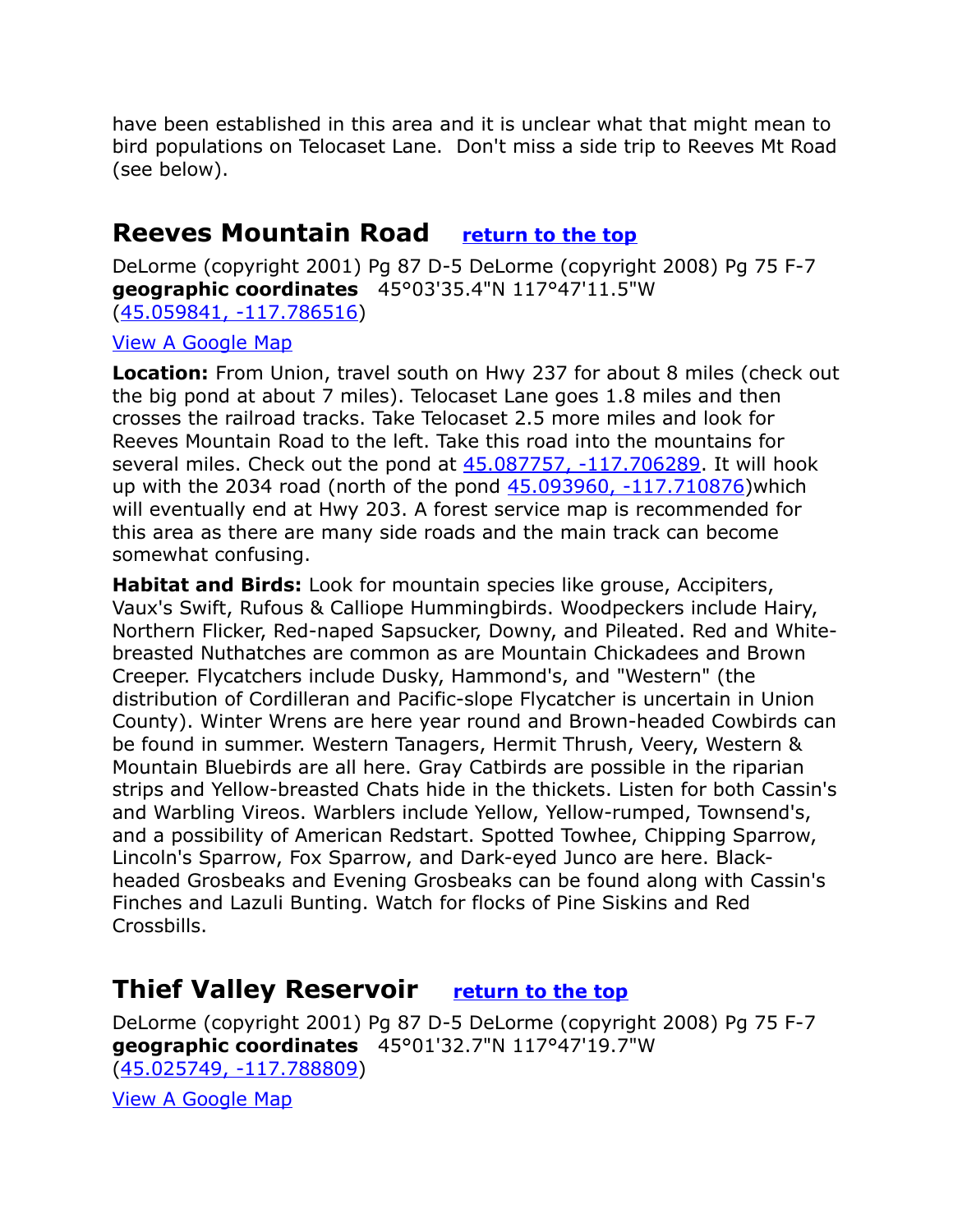have been established in this area and it is unclear what that might mean to bird populations on Telocaset Lane. Don't miss a side trip to Reeves Mt Road (see below).

## <span id="page-19-1"></span>**Reeves Mountain Road [return to the top](#page-0-0)**

DeLorme (copyright 2001) Pg 87 D-5 DeLorme (copyright 2008) Pg 75 F-7 **geographic coordinates** 45°03'35.4"N 117°47'11.5"W [\(45.059841, -117.786516\)](https://www.google.com/maps/place/45%C2%B003)

[View A Google Map](http://maps.google.com/maps/ms?hl=en&ie=UTF8&msa=0&ll=45.043448,-117.280426&spn=0.770439,2.113495&z=10&msid=108036481085398338899.000477e3fcbcf41eeb5ff)

**Location:** From Union, travel south on Hwy 237 for about 8 miles (check out the big pond at about 7 miles). Telocaset Lane goes 1.8 miles and then crosses the railroad tracks. Take Telocaset 2.5 more miles and look for Reeves Mountain Road to the left. Take this road into the mountains for several miles. Check out the pond at  $45.087757, -117.706289$ . It will hook up with the 2034 road (north of the pond [45.093960, -117.710876\)](https://www.google.com/maps/place/45%C2%B005)which will eventually end at Hwy 203. A forest service map is recommended for this area as there are many side roads and the main track can become somewhat confusing.

**Habitat and Birds:** Look for mountain species like grouse, Accipiters, Vaux's Swift, Rufous & Calliope Hummingbirds. Woodpeckers include Hairy, Northern Flicker, Red-naped Sapsucker, Downy, and Pileated. Red and Whitebreasted Nuthatches are common as are Mountain Chickadees and Brown Creeper. Flycatchers include Dusky, Hammond's, and "Western" (the distribution of Cordilleran and Pacific-slope Flycatcher is uncertain in Union County). Winter Wrens are here year round and Brown-headed Cowbirds can be found in summer. Western Tanagers, Hermit Thrush, Veery, Western & Mountain Bluebirds are all here. Gray Catbirds are possible in the riparian strips and Yellow-breasted Chats hide in the thickets. Listen for both Cassin's and Warbling Vireos. Warblers include Yellow, Yellow-rumped, Townsend's, and a possibility of American Redstart. Spotted Towhee, Chipping Sparrow, Lincoln's Sparrow, Fox Sparrow, and Dark-eyed Junco are here. Blackheaded Grosbeaks and Evening Grosbeaks can be found along with Cassin's Finches and Lazuli Bunting. Watch for flocks of Pine Siskins and Red Crossbills.

## <span id="page-19-0"></span>**Thief Valley Reservoir [return to the top](#page-0-0)**

DeLorme (copyright 2001) Pg 87 D-5 DeLorme (copyright 2008) Pg 75 F-7 **geographic coordinates** 45°01'32.7"N 117°47'19.7"W [\(45.025749, -117.788809\)](https://www.google.com/maps/place/45%C2%B001)

[View A Google Map](http://maps.google.com/maps/ms?hl=en&ie=UTF8&msa=0&ll=45.043448,-117.280426&spn=0.770439,2.113495&z=10&msid=108036481085398338899.000477e3fcbcf41eeb5ff)